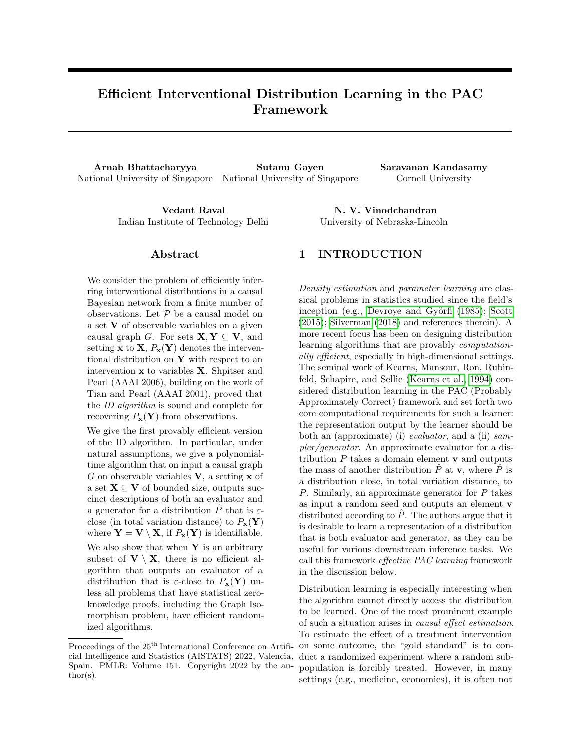# Efficient Interventional Distribution Learning in the PAC Framework

Arnab Bhattacharyya Sutanu Gayen Saravanan Kandasamy National University of Singapore National University of Singapore Cornell University

Vedant Raval N. V. Vinodchandran Indian Institute of Technology Delhi University of Nebraska-Lincoln

#### Abstract

We consider the problem of efficiently inferring interventional distributions in a causal Bayesian network from a finite number of observations. Let  $P$  be a causal model on a set V of observable variables on a given causal graph G. For sets  $X, Y \subseteq V$ , and setting **x** to **X**,  $P_x(Y)$  denotes the interventional distribution on  $Y$  with respect to an intervention  $x$  to variables  $X$ . Shpitser and Pearl (AAAI 2006), building on the work of Tian and Pearl (AAAI 2001), proved that the ID algorithm is sound and complete for recovering  $P_{\mathbf{x}}(\mathbf{Y})$  from observations.

We give the first provably efficient version of the ID algorithm. In particular, under natural assumptions, we give a polynomialtime algorithm that on input a causal graph G on observable variables  $V$ , a setting  $x$  of a set  $X \subseteq V$  of bounded size, outputs succinct descriptions of both an evaluator and a generator for a distribution  $\ddot{P}$  that is  $\varepsilon$ close (in total variation distance) to  $P_{\mathbf{x}}(\mathbf{Y})$ where  $\mathbf{Y} = \mathbf{V} \setminus \mathbf{X}$ , if  $P_{\mathbf{x}}(\mathbf{Y})$  is identifiable. We also show that when  $Y$  is an arbitrary subset of  $V \setminus X$ , there is no efficient algorithm that outputs an evaluator of a distribution that is  $\varepsilon$ -close to  $P_{\mathbf{x}}(\mathbf{Y})$  unless all problems that have statistical zeroknowledge proofs, including the Graph Isomorphism problem, have efficient randomized algorithms.

### 1 INTRODUCTION

Density estimation and parameter learning are classical problems in statistics studied since the field's inception (e.g., Devroye and Györfi [\(1985\)](#page-9-0); [Scott](#page-10-0) [\(2015\)](#page-10-0); [Silverman](#page-10-1) [\(2018\)](#page-10-1) and references therein). A more recent focus has been on designing distribution learning algorithms that are provably computationally efficient, especially in high-dimensional settings. The seminal work of Kearns, Mansour, Ron, Rubinfeld, Schapire, and Sellie [\(Kearns et al., 1994\)](#page-9-1) considered distribution learning in the PAC (Probably Approximately Correct) framework and set forth two core computational requirements for such a learner: the representation output by the learner should be both an (approximate) (i) evaluator, and a (ii) sampler/generator. An approximate evaluator for a distribution  $P$  takes a domain element  $\bf{v}$  and outputs the mass of another distribution  $\hat{P}$  at **v**, where  $\hat{P}$  is a distribution close, in total variation distance, to P. Similarly, an approximate generator for P takes as input a random seed and outputs an element v distributed according to  $\hat{P}$ . The authors argue that it is desirable to learn a representation of a distribution that is both evaluator and generator, as they can be useful for various downstream inference tasks. We call this framework effective PAC learning framework in the discussion below.

Distribution learning is especially interesting when the algorithm cannot directly access the distribution to be learned. One of the most prominent example of such a situation arises in causal effect estimation. To estimate the effect of a treatment intervention on some outcome, the "gold standard" is to conduct a randomized experiment where a random subpopulation is forcibly treated. However, in many settings (e.g., medicine, economics), it is often not

Proceedings of the  $25<sup>th</sup>$  International Conference on Artificial Intelligence and Statistics (AISTATS) 2022, Valencia, Spain. PMLR: Volume 151. Copyright 2022 by the author(s).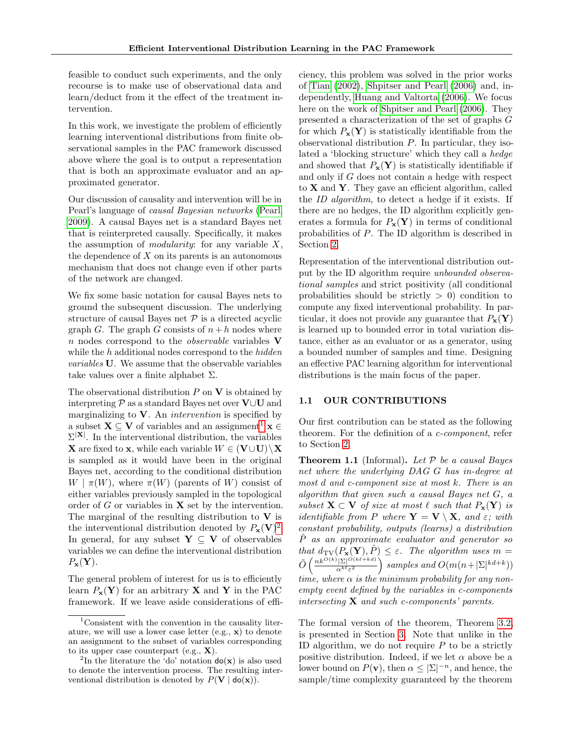feasible to conduct such experiments, and the only recourse is to make use of observational data and learn/deduct from it the effect of the treatment intervention.

In this work, we investigate the problem of efficiently learning interventional distributions from finite observational samples in the PAC framework discussed above where the goal is to output a representation that is both an approximate evaluator and an approximated generator.

Our discussion of causality and intervention will be in Pearl's language of causal Bayesian networks [\(Pearl,](#page-9-2) [2009\)](#page-9-2). A causal Bayes net is a standard Bayes net that is reinterpreted causally. Specifically, it makes the assumption of *modularity*: for any variable  $X$ , the dependence of  $X$  on its parents is an autonomous mechanism that does not change even if other parts of the network are changed.

We fix some basic notation for causal Bayes nets to ground the subsequent discussion. The underlying structure of causal Bayes net  $P$  is a directed acyclic graph G. The graph G consists of  $n + h$  nodes where  $n$  nodes correspond to the *observable* variables  $V$ while the h additional nodes correspond to the hidden variables U. We assume that the observable variables take values over a finite alphabet  $\Sigma$ .

The observational distribution  $P$  on  $V$  is obtained by interpreting  $\mathcal P$  as a standard Bayes net over  $\mathbf V \cup \mathbf U$  and marginalizing to  $V$ . An *intervention* is specified by a subset  $X \subseteq V$  of variables and an assignment<sup>[1](#page-1-0)</sup>  $x \in$  $\Sigma^{|\mathbf{X}|}$ . In the interventional distribution, the variables **X** are fixed to **x**, while each variable  $W \in (\mathbf{V} \cup \mathbf{U}) \setminus \mathbf{X}$ is sampled as it would have been in the original Bayes net, according to the conditional distribution  $W | \pi(W)$ , where  $\pi(W)$  (parents of W) consist of either variables previously sampled in the topological order of  $G$  or variables in  $X$  set by the intervention. The marginal of the resulting distribution to  $V$  is the interventional distribution denoted by  $P_{\mathbf{x}}(\mathbf{V})^2$  $P_{\mathbf{x}}(\mathbf{V})^2$ . In general, for any subset  $Y \subseteq V$  of observables variables we can define the interventional distribution  $P_{\mathbf{x}}(\mathbf{Y}).$ 

The general problem of interest for us is to efficiently learn  $P_{\mathbf{x}}(\mathbf{Y})$  for an arbitrary **X** and **Y** in the PAC framework. If we leave aside considerations of efficiency, this problem was solved in the prior works of [Tian](#page-10-2) [\(2002\)](#page-10-2), [Shpitser and Pearl](#page-10-3) [\(2006\)](#page-10-3) and, independently, [Huang and Valtorta](#page-9-3) [\(2006\)](#page-9-3). We focus here on the work of [Shpitser and Pearl](#page-10-3) [\(2006\)](#page-10-3). They presented a characterization of the set of graphs G for which  $P_{\mathbf{x}}(\mathbf{Y})$  is statistically identifiable from the observational distribution  $P$ . In particular, they isolated a 'blocking structure' which they call a hedge and showed that  $P_{\mathbf{x}}(\mathbf{Y})$  is statistically identifiable if and only if G does not contain a hedge with respect to  $X$  and  $Y$ . They gave an efficient algorithm, called the ID algorithm, to detect a hedge if it exists. If there are no hedges, the ID algorithm explicitly generates a formula for  $P_{\mathbf{x}}(\mathbf{Y})$  in terms of conditional probabilities of P. The ID algorithm is described in Section [2.](#page-3-0)

Representation of the interventional distribution output by the ID algorithm require unbounded observational samples and strict positivity (all conditional probabilities should be strictly  $> 0$ ) condition to compute any fixed interventional probability. In particular, it does not provide any guarantee that  $P_{\mathbf{x}}(\mathbf{Y})$ is learned up to bounded error in total variation distance, either as an evaluator or as a generator, using a bounded number of samples and time. Designing an effective PAC learning algorithm for interventional distributions is the main focus of the paper.

#### 1.1 OUR CONTRIBUTIONS

Our first contribution can be stated as the following theorem. For the definition of a c-component, refer to Section [2.](#page-3-0)

<span id="page-1-2"></span>**Theorem 1.1** (Informal). Let  $P$  be a causal Bayes net where the underlying DAG G has in-degree at most d and c-component size at most k. There is an algorithm that given such a causal Bayes net G, a subset  $X \subset V$  of size at most  $\ell$  such that  $P_x(Y)$  is *identifiable from P where*  $\mathbf{Y} = \mathbf{V} \setminus \mathbf{X}$ *, and ε; with* constant probability, outputs (learns) a distribution Pˆ as an approximate evaluator and generator so that  $d_{\text{TV}}(P_{\mathbf{x}}(\mathbf{Y}), \hat{P}) \leq \varepsilon$ . The algorithm uses  $m =$  $\tilde{O}\left(\frac{nk^{O(k)}|\Sigma|^{O(k\ell+kd)}}{nk^{\ell-2}}\right)$  $\frac{(|\Sigma|^{O(k\ell + kd)}}{\alpha^{k\ell}\varepsilon^2}$  samples and  $O(m(n+|\Sigma|^{kd+k}))$ time, where  $\alpha$  is the minimum probability for any nonempty event defined by the variables in c-components intersecting  $X$  and such c-components' parents.

The formal version of the theorem, Theorem [3.2,](#page-5-0) is presented in Section [3.](#page-5-1) Note that unlike in the ID algorithm, we do not require  $P$  to be a strictly positive distribution. Indeed, if we let  $\alpha$  above be a lower bound on  $P(\mathbf{v})$ , then  $\alpha \leq |\Sigma|^{-n}$ , and hence, the sample/time complexity guaranteed by the theorem

<span id="page-1-0"></span> $1$ Consistent with the convention in the causality literature, we will use a lower case letter (e.g., x) to denote an assignment to the subset of variables corresponding to its upper case counterpart (e.g.,  $X$ ).

<span id="page-1-1"></span><sup>&</sup>lt;sup>2</sup>In the literature the 'do' notation  $do(x)$  is also used to denote the intervention process. The resulting interventional distribution is denoted by  $P(\mathbf{V} | \textbf{do}(\mathbf{x}))$ .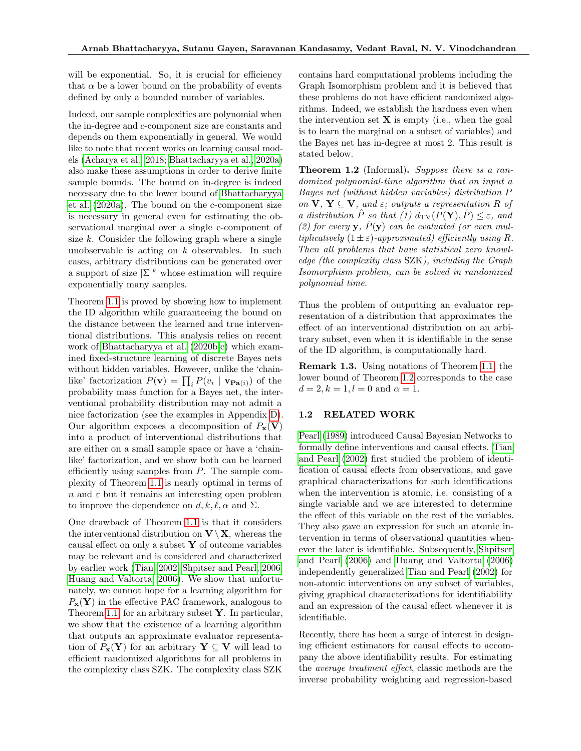will be exponential. So, it is crucial for efficiency that  $\alpha$  be a lower bound on the probability of events defined by only a bounded number of variables.

Indeed, our sample complexities are polynomial when the in-degree and c-component size are constants and depends on them exponentially in general. We would like to note that recent works on learning causal models [\(Acharya et al., 2018;](#page-9-4) [Bhattacharyya et al., 2020a\)](#page-9-5) also make these assumptions in order to derive finite sample bounds. The bound on in-degree is indeed necessary due to the lower bound of [Bhattacharyya](#page-9-5) [et al.](#page-9-5) [\(2020a\)](#page-9-5). The bound on the c-component size is necessary in general even for estimating the observational marginal over a single c-component of size  $k$ . Consider the following graph where a single unobservable is acting on  $k$  observables. In such cases, arbitrary distributions can be generated over a support of size  $|\Sigma|^k$  whose estimation will require exponentially many samples.

Theorem [1.1](#page-1-2) is proved by showing how to implement the ID algorithm while guaranteeing the bound on the distance between the learned and true interventional distributions. This analysis relies on recent work of [Bhattacharyya et al.](#page-9-6) [\(2020b,](#page-9-6)[c\)](#page-9-7) which examined fixed-structure learning of discrete Bayes nets without hidden variables. However, unlike the 'chainlike' factorization  $P(\mathbf{v}) = \prod_i P(v_i \mid \mathbf{v}_{\mathbf{Pa}(i)})$  of the probability mass function for a Bayes net, the interventional probability distribution may not admit a nice factorization (see the examples in Appendix [D\)](#page-16-0). Our algorithm exposes a decomposition of  $P_{\mathbf{x}}(\mathbf{V})$ into a product of interventional distributions that are either on a small sample space or have a 'chainlike' factorization, and we show both can be learned efficiently using samples from  $P$ . The sample complexity of Theorem [1.1](#page-1-2) is nearly optimal in terms of  $n$  and  $\varepsilon$  but it remains an interesting open problem to improve the dependence on d, k,  $\ell$ ,  $\alpha$  and  $\Sigma$ .

One drawback of Theorem [1.1](#page-1-2) is that it considers the interventional distribution on  $V \setminus X$ , whereas the causal effect on only a subset  $Y$  of outcome variables may be relevant and is considered and characterized by earlier work [\(Tian, 2002;](#page-10-2) [Shpitser and Pearl, 2006;](#page-10-3) [Huang and Valtorta, 2006\)](#page-9-3). We show that unfortunately, we cannot hope for a learning algorithm for  $P_{\mathbf{x}}(\mathbf{Y})$  in the effective PAC framework, analogous to Theorem [1.1,](#page-1-2) for an arbitrary subset  $\mathbf{Y}$ . In particular, we show that the existence of a learning algorithm that outputs an approximate evaluator representation of  $P_{\mathbf{x}}(\mathbf{Y})$  for an arbitrary  $\mathbf{Y} \subseteq \mathbf{V}$  will lead to efficient randomized algorithms for all problems in the complexity class SZK. The complexity class SZK contains hard computational problems including the Graph Isomorphism problem and it is believed that these problems do not have efficient randomized algorithms. Indeed, we establish the hardness even when the intervention set  $X$  is empty (i.e., when the goal is to learn the marginal on a subset of variables) and the Bayes net has in-degree at most 2. This result is stated below.

<span id="page-2-0"></span>**Theorem 1.2** (Informal). Suppose there is a randomized polynomial-time algorithm that on input a Bayes net (without hidden variables) distribution P on  $V, Y \subseteq V$ , and  $\varepsilon$ ; outputs a representation R of a distribution P so that (1)  $d_{\text{TV}}(P(\mathbf{Y}), P) \leq \varepsilon$ , and (2) for every **y**,  $\hat{P}(\mathbf{y})$  can be evaluated (or even multiplicatively  $(1 \pm \varepsilon)$ -approximated) efficiently using R. Then all problems that have statistical zero knowledge (the complexity class SZK), including the Graph Isomorphism problem, can be solved in randomized polynomial time.

Thus the problem of outputting an evaluator representation of a distribution that approximates the effect of an interventional distribution on an arbitrary subset, even when it is identifiable in the sense of the ID algorithm, is computationally hard.

Remark 1.3. Using notations of Theorem [1.1,](#page-1-2) the lower bound of Theorem [1.2](#page-2-0) corresponds to the case  $d = 2, k = 1, l = 0 \text{ and } \alpha = 1.$ 

#### 1.2 RELATED WORK

[Pearl](#page-9-8) [\(1989\)](#page-9-8) introduced Causal Bayesian Networks to formally define interventions and causal effects. [Tian](#page-10-4) [and Pearl](#page-10-4) [\(2002\)](#page-10-4) first studied the problem of identification of causal effects from observations, and gave graphical characterizations for such identifications when the intervention is atomic, i.e. consisting of a single variable and we are interested to determine the effect of this variable on the rest of the variables. They also gave an expression for such an atomic intervention in terms of observational quantities whenever the later is identifiable. Subsequently, [Shpitser](#page-10-3) [and Pearl](#page-10-3) [\(2006\)](#page-10-3) and [Huang and Valtorta](#page-9-3) [\(2006\)](#page-9-3) independently generalized [Tian and Pearl](#page-10-4) [\(2002\)](#page-10-4) for non-atomic interventions on any subset of variables, giving graphical characterizations for identifiability and an expression of the causal effect whenever it is identifiable.

Recently, there has been a surge of interest in designing efficient estimators for causal effects to accompany the above identifiability results. For estimating the average treatment effect, classic methods are the inverse probability weighting and regression-based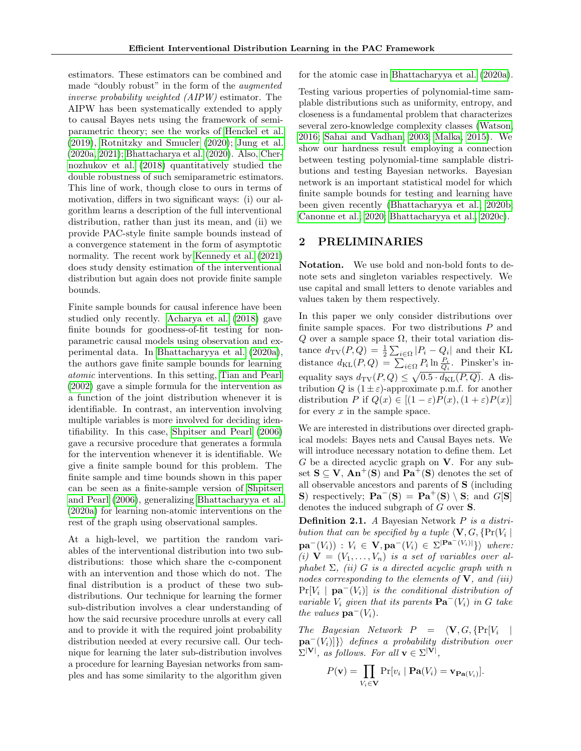estimators. These estimators can be combined and made "doubly robust" in the form of the augmented inverse probability weighted (AIPW) estimator. The AIPW has been systematically extended to apply to causal Bayes nets using the framework of semiparametric theory; see the works of [Henckel et al.](#page-9-9) [\(2019\)](#page-9-9), [Rotnitzky and Smucler](#page-10-5) [\(2020\)](#page-10-5); [Jung et al.](#page-9-10) [\(2020a,](#page-9-10) [2021\)](#page-9-11); [Bhattacharya et al.](#page-9-12) [\(2020\)](#page-9-12). Also, [Cher](#page-9-13)[nozhukov et al.](#page-9-13) [\(2018\)](#page-9-13) quantitatively studied the double robustness of such semiparametric estimators. This line of work, though close to ours in terms of motivation, differs in two significant ways: (i) our algorithm learns a description of the full interventional distribution, rather than just its mean, and (ii) we provide PAC-style finite sample bounds instead of a convergence statement in the form of asymptotic normality. The recent work by [Kennedy et al.](#page-9-14) [\(2021\)](#page-9-14) does study density estimation of the interventional distribution but again does not provide finite sample bounds.

Finite sample bounds for causal inference have been studied only recently. [Acharya et al.](#page-9-4) [\(2018\)](#page-9-4) gave finite bounds for goodness-of-fit testing for nonparametric causal models using observation and experimental data. In [Bhattacharyya et al.](#page-9-5) [\(2020a\)](#page-9-5), the authors gave finite sample bounds for learning atomic interventions. In this setting, [Tian and Pearl](#page-10-4) [\(2002\)](#page-10-4) gave a simple formula for the intervention as a function of the joint distribution whenever it is identifiable. In contrast, an intervention involving multiple variables is more involved for deciding identifiability. In this case, [Shpitser and Pearl](#page-10-3) [\(2006\)](#page-10-3) gave a recursive procedure that generates a formula for the intervention whenever it is identifiable. We give a finite sample bound for this problem. The finite sample and time bounds shown in this paper can be seen as a finite-sample version of [Shpitser](#page-10-3) [and Pearl](#page-10-3) [\(2006\)](#page-10-3), generalizing [Bhattacharyya et al.](#page-9-5) [\(2020a\)](#page-9-5) for learning non-atomic interventions on the rest of the graph using observational samples.

At a high-level, we partition the random variables of the interventional distribution into two subdistributions: those which share the c-component with an intervention and those which do not. The final distribution is a product of these two subdistributions. Our technique for learning the former sub-distribution involves a clear understanding of how the said recursive procedure unrolls at every call and to provide it with the required joint probability distribution needed at every recursive call. Our technique for learning the later sub-distribution involves a procedure for learning Bayesian networks from samples and has some similarity to the algorithm given for the atomic case in [Bhattacharyya et al.](#page-9-5) [\(2020a\)](#page-9-5).

Testing various properties of polynomial-time samplable distributions such as uniformity, entropy, and closeness is a fundamental problem that characterizes several zero-knowledge complexity classes [\(Watson,](#page-10-6) [2016;](#page-10-6) [Sahai and Vadhan, 2003;](#page-10-7) [Malka, 2015\)](#page-9-15). We show our hardness result employing a connection between testing polynomial-time samplable distributions and testing Bayesian networks. Bayesian network is an important statistical model for which finite sample bounds for testing and learning have been given recently [\(Bhattacharyya et al., 2020b;](#page-9-6) [Canonne et al., 2020;](#page-9-16) [Bhattacharyya et al., 2020c\)](#page-9-7).

## <span id="page-3-0"></span>2 PRELIMINARIES

Notation. We use bold and non-bold fonts to denote sets and singleton variables respectively. We use capital and small letters to denote variables and values taken by them respectively.

In this paper we only consider distributions over finite sample spaces. For two distributions  $P$  and  $Q$  over a sample space  $\Omega$ , their total variation distance  $d_{\text{TV}}(P,Q) = \frac{1}{2} \sum_{i \in \Omega} |P_i - Q_i|$  and their KL distance  $d_{\text{KL}}(P,Q) = \sum_{i \in \Omega} P_i \ln \frac{P_i}{Q_i}$ . Pinsker's inequality says  $d_{\text{TV}}(P,Q) \leq \sqrt{0.5 \cdot d_{\text{KL}}(P,Q)}$ . A distribution Q is  $(1 \pm \varepsilon)$ -approximate p.m.f. for another distribution P if  $Q(x) \in [(1-\varepsilon)P(x), (1+\varepsilon)P(x)]$ for every  $x$  in the sample space.

We are interested in distributions over directed graphical models: Bayes nets and Causal Bayes nets. We will introduce necessary notation to define them. Let G be a directed acyclic graph on  $V$ . For any subset  $S \subseteq V$ ,  $An^+(S)$  and  $Pa^+(S)$  denotes the set of all observable ancestors and parents of S (including S) respectively;  $\mathbf{Pa}^-(\mathbf{S}) = \mathbf{Pa}^+(\mathbf{S}) \setminus \mathbf{S}$ ; and  $G[\mathbf{S}]$ denotes the induced subgraph of G over S.

Definition 2.1. A Bayesian Network P is a distribution that can be specified by a tuple  $\langle \mathbf{V}, G, \{\Pr(V_i) \mid$  $\mathbf{pa}^-(V_i)) : V_i \in \mathbf{V}, \mathbf{pa}^-(V_i) \in \Sigma^{|\mathbf{Pa}^-(V_i)|} \}$  where: (i)  $\mathbf{V} = (V_1, \ldots, V_n)$  is a set of variables over alphabet  $\Sigma$ , (ii) G is a directed acyclic graph with n nodes corresponding to the elements of  $V$ , and (iii)  $Pr[V_i \mid \textbf{pa}^{-1}(V_i)]$  is the conditional distribution of variable  $V_i$  given that its parents  $\mathbf{Pa}^-(V_i)$  in G take the values  $\mathbf{pa}^-(V_i)$ .

The Bayesian Network  $P = \langle \mathbf{V}, G, \{Pr[V_i \mid$  $\mathbf{pa}^{-}(V_i)|\}\$  defines a probability distribution over  $\Sigma^{|\mathbf{V}|}$ , as follows. For all  $\mathbf{v} \in \Sigma^{|\mathbf{V}|}$ ,

$$
P(\mathbf{v}) = \prod_{V_i \in \mathbf{V}} \Pr[v_i \mid \mathbf{Pa}(V_i) = \mathbf{v}_{\mathbf{Pa}(V_i)}].
$$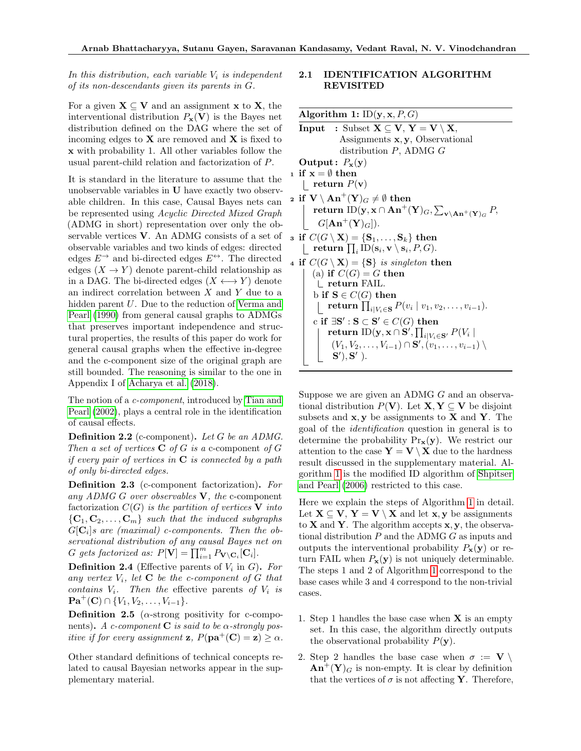## In this distribution, each variable  $V_i$  is independent of its non-descendants given its parents in G.

For a given  $X \subseteq V$  and an assignment x to X, the interventional distribution  $P_{\mathbf{x}}(\mathbf{V})$  is the Bayes net distribution defined on the DAG where the set of incoming edges to  $X$  are removed and  $X$  is fixed to x with probability 1. All other variables follow the usual parent-child relation and factorization of P.

It is standard in the literature to assume that the unobservable variables in U have exactly two observable children. In this case, Causal Bayes nets can be represented using Acyclic Directed Mixed Graph (ADMG in short) representation over only the observable vertices V. An ADMG consists of a set of observable variables and two kinds of edges: directed edges  $E^{\rightarrow}$  and bi-directed edges  $E^{\leftrightarrow}$ . The directed edges  $(X \to Y)$  denote parent-child relationship as in a DAG. The bi-directed edges  $(X \leftrightarrow Y)$  denote an indirect correlation between  $X$  and  $Y$  due to a hidden parent U. Due to the reduction of [Verma and](#page-10-8) [Pearl](#page-10-8) [\(1990\)](#page-10-8) from general causal graphs to ADMGs that preserves important independence and structural properties, the results of this paper do work for general causal graphs when the effective in-degree and the c-component size of the original graph are still bounded. The reasoning is similar to the one in Appendix I of [Acharya et al.](#page-9-4) [\(2018\)](#page-9-4).

The notion of a *c*-component, introduced by [Tian and](#page-10-4) [Pearl](#page-10-4) [\(2002\)](#page-10-4), plays a central role in the identification of causal effects.

**Definition 2.2** (c-component). Let  $G$  be an ADMG. Then a set of vertices  $C$  of G is a c-component of G if every pair of vertices in  $C$  is connected by a path of only bi-directed edges.

<span id="page-4-1"></span>Definition 2.3 (c-component factorization). For any ADMG G over observables  $V$ , the c-component factorization  $C(G)$  is the partition of vertices V into  ${C_1, C_2, \ldots, C_m}$  such that the induced subgraphs  $G[\mathbf{C}_i]$ s are (maximal) c-components. Then the observational distribution of any causal Bayes net on G gets factorized as:  $P[\mathbf{V}] = \prod_{i=1}^{m} P_{\mathbf{V} \setminus \mathbf{C}_i}[\mathbf{C}_i].$ 

<span id="page-4-2"></span>**Definition 2.4** (Effective parents of  $V_i$  in  $G$ ). For any vertex  $V_i$ , let **C** be the c-component of G that contains  $V_i$ . Then the effective parents of  $V_i$  is  $\mathbf{Pa}^{+}(\mathbf{C}) \cap \{V_1, V_2, \ldots, V_{i-1}\}.$ 

**Definition 2.5** ( $\alpha$ -strong positivity for c-components). A c-component C is said to be  $\alpha$ -strongly pos*itive if for every assignment* **z**,  $P(\mathbf{pa}^{+}(\mathbf{C}) = \mathbf{z}) \geq \alpha$ .

Other standard definitions of technical concepts related to causal Bayesian networks appear in the supplementary material.

#### 2.1 IDENTIFICATION ALGORITHM REVISITED

Algorithm 1:  $ID(y, x, P, G)$ **Input** : Subset  $X \subseteq V$ ,  $Y = V \setminus X$ , Assignments x, y, Observational distribution P, ADMG G Output:  $P_{\mathbf{x}}(\mathbf{y})$ 1 if  $x = \emptyset$  then | return  $P(\mathbf{v})$ 2 if  $V \setminus An^+(Y)_G \neq \emptyset$  then  $\textbf{return 1D}(\textbf{y}, \textbf{x} \cap \textbf{An}^+(\textbf{Y})_G, \sum_{\textbf{v} \backslash \textbf{An}^+(\textbf{Y})_G} P,$  $G[\text{An}^+(\textbf{Y})_G]).$ 3 if  $C(G \setminus \mathbf{X}) = \{S_1, \ldots, S_k\}$  then  $\mathbf{return} \prod_i \mathrm{ID}(\mathbf{s}_i, \mathbf{v} \setminus \mathbf{s}_i, P, G).$ 4 if  $C(G \setminus X) = \{S\}$  is singleton then (a) if  $C(G) = G$  then return FAIL. b if  $S \in C(G)$  then return  $\prod_{i|V_i \in \mathbf{S}} P(v_i \mid v_1, v_2, \dots, v_{i-1}).$ c if  $\exists S': S \subset S' \in C(G)$  then  $\textbf{return ID}(\mathbf{y}, \mathbf{x} \cap \mathbf{S}', \prod_{i \mid V_i \in \mathbf{S}'} P(V_i \mid$  $(V_1, V_2, \ldots, V_{i-1}) \cap S', (v_1, \ldots, v_{i-1}) \setminus$  $S'$ ,  $S'$ ).

<span id="page-4-0"></span>Suppose we are given an ADMG G and an observational distribution  $P(V)$ . Let  $X, Y \subseteq V$  be disjoint subsets and  $x, y$  be assignments to  $X$  and  $Y$ . The goal of the identification question in general is to determine the probability  $Pr_{\mathbf{x}}(\mathbf{y})$ . We restrict our attention to the case  $\mathbf{Y} = \mathbf{V} \setminus \mathbf{X}$  due to the hardness result discussed in the supplementary material. Algorithm [1](#page-4-0) is the modified ID algorithm of [Shpitser](#page-10-3) [and Pearl](#page-10-3) [\(2006\)](#page-10-3) restricted to this case.

Here we explain the steps of Algorithm [1](#page-4-0) in detail. Let  $X \subseteq V$ ,  $Y = V \setminus X$  and let x, y be assignments to **X** and **Y**. The algorithm accepts **x**, **y**, the observational distribution  $P$  and the ADMG  $G$  as inputs and outputs the interventional probability  $P_{\mathbf{x}}(\mathbf{y})$  or return FAIL when  $P_{\mathbf{x}}(\mathbf{y})$  is not uniquely determinable. The steps 1 and 2 of Algorithm [1](#page-4-0) correspond to the base cases while 3 and 4 correspond to the non-trivial cases.

- 1. Step 1 handles the base case when  $X$  is an empty set. In this case, the algorithm directly outputs the observational probability  $P(\mathbf{y})$ .
- 2. Step 2 handles the base case when  $\sigma := V \setminus$  $\text{An}^{+}(\textbf{Y})_{G}$  is non-empty. It is clear by definition that the vertices of  $\sigma$  is not affecting Y. Therefore,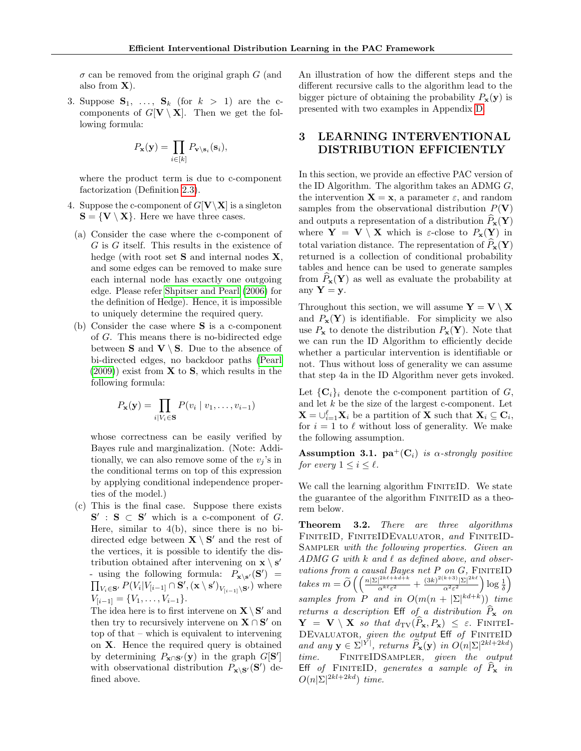$\sigma$  can be removed from the original graph G (and also from  $X$ ).

3. Suppose  $S_1, \ldots, S_k$  (for  $k > 1$ ) are the ccomponents of  $G[V \setminus X]$ . Then we get the following formula:

$$
P_{\mathbf{x}}(\mathbf{y}) = \prod_{i \in [k]} P_{\mathbf{v} \setminus \mathbf{s}_i}(\mathbf{s}_i),
$$

where the product term is due to c-component factorization (Definition [2.3\)](#page-4-1).

- 4. Suppose the c-component of  $G[V\X]$  is a singleton  $S = \{V \setminus X\}$ . Here we have three cases.
	- (a) Consider the case where the c-component of  $G$  is  $G$  itself. This results in the existence of hedge (with root set  $S$  and internal nodes  $X$ , and some edges can be removed to make sure each internal node has exactly one outgoing edge. Please refer [Shpitser and Pearl](#page-10-3) [\(2006\)](#page-10-3) for the definition of Hedge). Hence, it is impossible to uniquely determine the required query.
	- (b) Consider the case where S is a c-component of G. This means there is no-bidirected edge between **S** and  $V \ S$ . Due to the absence of bi-directed edges, no backdoor paths [\(Pearl](#page-9-2)  $(2009)$ ) exist from **X** to **S**, which results in the following formula:

$$
P_{\mathbf{x}}(\mathbf{y}) = \prod_{i \mid V_i \in \mathbf{S}} P(v_i \mid v_1, \dots, v_{i-1})
$$

whose correctness can be easily verified by Bayes rule and marginalization. (Note: Additionally, we can also remove some of the  $v_i$ 's in the conditional terms on top of this expression by applying conditional independence properties of the model.)

(c) This is the final case. Suppose there exists  $S'$ :  $S \subset S'$  which is a c-component of G. Here, similar to  $4(b)$ , since there is no bidirected edge between  $\mathbf{X} \setminus \mathbf{S}'$  and the rest of the vertices, it is possible to identify the distribution obtained after intervening on  $\mathbf{x} \setminus \mathbf{s}'$ - using the following formula:  $P_{\mathbf{x}\setminus\mathbf{s}'}(\mathbf{S}') =$  $\prod_{V_i \in \mathbf{S}'} P(V_i | V_{[i-1]} \cap \mathbf{S}', (\mathbf{x} \setminus \mathbf{s}')_{V_{[i-1]} \setminus \mathbf{S}'} )$  where  $V_{[i-1]} = \{V_1, \ldots, V_{i-1}\}.$ 

The idea here is to first intervene on  $\mathbf{X} \setminus \mathbf{S}'$  and then try to recursively intervene on  $X \cap S'$  on top of that – which is equivalent to intervening on X. Hence the required query is obtained by determining  $P_{\mathbf{x} \cap \mathbf{S}'}(\mathbf{y})$  in the graph  $G[\mathbf{S}']$ with observational distribution  $P_{\mathbf{x} \setminus \mathbf{S}'}(\mathbf{S}')$  defined above.

An illustration of how the different steps and the different recursive calls to the algorithm lead to the bigger picture of obtaining the probability  $P_x(y)$  is presented with two examples in Appendix [D.](#page-16-0)

## <span id="page-5-1"></span>3 LEARNING INTERVENTIONAL DISTRIBUTION EFFICIENTLY

In this section, we provide an effective PAC version of the ID Algorithm. The algorithm takes an ADMG  $G$ , the intervention  $X = x$ , a parameter  $\varepsilon$ , and random samples from the observational distribution  $P(\mathbf{V})$ and outputs a representation of a distribution  $\widehat{P}_{\mathbf{x}}(\mathbf{Y})$ where  $Y = V \setminus X$  which is  $\varepsilon$ -close to  $P_x(Y)$  in total variation distance. The representation of  $P_{\mathbf{x}}(\mathbf{Y})$ returned is a collection of conditional probability tables and hence can be used to generate samples from  $P_{\mathbf{x}}(\mathbf{Y})$  as well as evaluate the probability at any  $Y = y$ .

Throughout this section, we will assume  $\mathbf{Y} = \mathbf{V} \setminus \mathbf{X}$ and  $P_{\mathbf{x}}(\mathbf{Y})$  is identifiable. For simplicity we also use  $P_x$  to denote the distribution  $P_x(Y)$ . Note that we can run the ID Algorithm to efficiently decide whether a particular intervention is identifiable or not. Thus without loss of generality we can assume that step 4a in the ID Algorithm never gets invoked.

Let  $\{C_i\}_i$  denote the c-component partition of G, and let  $k$  be the size of the largest c-component. Let  $\mathbf{X} = \bigcup_{i=1}^{\ell} \mathbf{X}_i$  be a partition of **X** such that  $\mathbf{X}_i \subseteq \mathbf{C}_i$ , for  $i = 1$  to  $\ell$  without loss of generality. We make the following assumption.

Assumption 3.1.  $pa^+(C_i)$  is  $\alpha$ -strongly positive for every  $1 \leq i \leq \ell$ .

We call the learning algorithm FINITEID. We state the guarantee of the algorithm FINITEID as a theorem below.

<span id="page-5-0"></span>Theorem 3.2. There are three algorithms FiniteID, FiniteIDEvaluator, and FiniteID-SAMPLER with the following properties. Given an ADMG G with  $k$  and  $\ell$  as defined above, and observations from a causal Bayes net  $P$  on  $G$ , FINITEID takes  $m = \widetilde{O}\left(\left(\frac{n|\Sigma|^{2k\ell + kd + k}}{\alpha^{k\ell} \varepsilon^2}\right)\right)$  $\frac{|^{2k\ell + kd + k}}{\alpha^{k\ell} \varepsilon^2} + \frac{(3k)^{2(k+3)}|\Sigma|^{2k\ell}}{\alpha^2 \varepsilon^2}$  $\frac{\sqrt{k+3}}{\alpha^2 \varepsilon^2} \log \frac{1}{\delta}$ samples from P and in  $O(m(n + |\Sigma|^{kd+k}))$  time returns a description Eff of a distribution  $\widehat{P}_{\mathbf{x}}$  on  $\mathbf{Y} = \mathbf{V} \setminus \mathbf{X}$  so that  $d_{\text{TV}}(P_\mathbf{x}, P_\mathbf{x}) \leq \varepsilon$ . Finitel-DEVALUATOR, given the output Eff of FINITEID and any  $\mathbf{y} \in \Sigma^{|Y|}$ , returns  $\widehat{P}_{\mathbf{x}}(\mathbf{y})$  in  $O(n|\Sigma|^{2kl+2kd})$ time. FINITEIDSAMPLER, given the output Eff of FINITEID, generates a sample of  $P_x$  in  $O(n|\Sigma|^{2kl+2kd})$  time.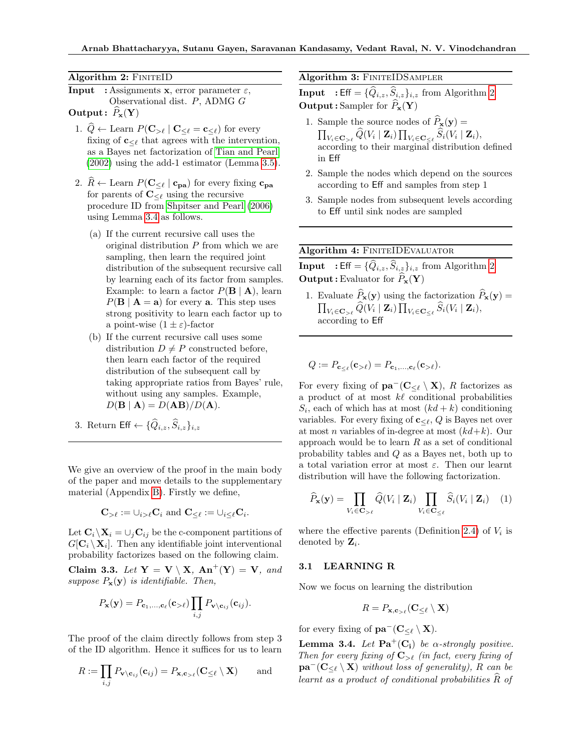Algorithm 2: FINITEID

- **Input** : Assignments **x**, error parameter  $\varepsilon$ , Observational dist. P, ADMG G Output:  $P_{\mathbf{x}}(\mathbf{Y})$ 
	- 1.  $\hat{Q} \leftarrow$  Learn  $P(\mathbf{C}_{>\ell} | \mathbf{C}_{<\ell} = \mathbf{c}_{<\ell})$  for every fixing of  $\mathbf{c}_{\leq \ell}$  that agrees with the intervention, as a Bayes net factorization of [Tian and Pearl](#page-10-4) [\(2002\)](#page-10-4) using the add-1 estimator (Lemma [3.5\)](#page-7-0).
	- 2.  $\widehat{R} \leftarrow$  Learn  $P(C_{\leq \ell} | c_{pa})$  for every fixing  $c_{pa}$ for parents of  $\mathbf{C}_{\leq \ell}$  using the recursive procedure ID from [Shpitser and Pearl](#page-10-3) [\(2006\)](#page-10-3) using Lemma [3.4](#page-6-0) as follows.
		- (a) If the current recursive call uses the original distribution  $P$  from which we are sampling, then learn the required joint distribution of the subsequent recursive call by learning each of its factor from samples. Example: to learn a factor  $P(\mathbf{B} \mid \mathbf{A})$ , learn  $P(\mathbf{B} \mid \mathbf{A} = \mathbf{a})$  for every **a**. This step uses strong positivity to learn each factor up to a point-wise  $(1 \pm \varepsilon)$ -factor
		- (b) If the current recursive call uses some distribution  $D \neq P$  constructed before, then learn each factor of the required distribution of the subsequent call by taking appropriate ratios from Bayes' rule, without using any samples. Example,  $D(\mathbf{B} \mid \mathbf{A}) = D(\mathbf{A}\mathbf{B})/D(\mathbf{A}).$
	- 3. Return Eff  $\leftarrow \{\widehat{Q}_{i,z}, \widehat{S}_{i,z}\}_{i,z}$

<span id="page-6-1"></span>We give an overview of the proof in the main body of the paper and move details to the supplementary material (Appendix [B\)](#page-12-0). Firstly we define,

$$
\mathbf{C}_{\geq \ell} := \cup_{i \geq \ell} \mathbf{C}_i \text{ and } \mathbf{C}_{\leq \ell} := \cup_{i \leq \ell} \mathbf{C}_i.
$$

Let  $\mathbf{C}_i\backslash\mathbf{X}_i = \bigcup_i\mathbf{C}_{ij}$  be the c-component partitions of  $G[\mathbf{C}_i \setminus \mathbf{X}_i]$ . Then any identifiable joint interventional probability factorizes based on the following claim.

Claim 3.3. Let  $Y = V \setminus X$ ,  $An^+(Y) = V$ , and suppose  $P_{\mathbf{x}}(\mathbf{y})$  is identifiable. Then,

$$
P_{\mathbf{x}}(\mathbf{y}) = P_{\mathbf{c}_1,\ldots,\mathbf{c}_{\ell}}(\mathbf{c}_{>\ell}) \prod_{i,j} P_{\mathbf{v} \setminus \mathbf{c}_{ij}}(\mathbf{c}_{ij}).
$$

The proof of the claim directly follows from step 3 of the ID algorithm. Hence it suffices for us to learn

$$
R := \prod_{i,j} P_{\mathbf{v} \setminus \mathbf{c}_{ij}}(\mathbf{c}_{ij}) = P_{\mathbf{x}, \mathbf{c}_{> \ell}}(\mathbf{C}_{\leq \ell} \setminus \mathbf{X}) \quad \text{and}
$$

Algorithm 3: FINITEIDSAMPLER

**Input** : Eff =  $\{\widehat{Q}_{i,z}, \widehat{S}_{i,z}\}_{i,z}$  from Algorithm [2](#page-6-1) **Output**: Sampler for  $\hat{P}_x(Y)$ 

- 1. Sample the source nodes of  $\widehat{P}_{\mathbf{x}}(\mathbf{y}) =$  $\prod_{V_i\in {\bf C}_{>\ell}} Q(V_i\mid {\bf Z}_i)\prod_{V_i\in {\bf C}_{\le \ell}} S_i(V_i\mid {\bf Z}_i),$ according to their marginal distribution defined in Eff
- 2. Sample the nodes which depend on the sources according to Eff and samples from step 1
- 3. Sample nodes from subsequent levels according to Eff until sink nodes are sampled

Algorithm 4: FINITEIDEVALUATOR

**Input** : Eff =  $\{\widehat{Q}_{i,z}, \widehat{S}_{i,z}\}_{i,z}$  from Algorithm [2](#page-6-1) **Output**: Evaluator for  $\hat{P}_\mathbf{x}(Y)$ 

1. Evaluate  $\widehat{P}_{\mathbf{x}}(\mathbf{y})$  using the factorization  $\widehat{P}_{\mathbf{x}}(\mathbf{y}) =$  $\prod_{V_i\in {\bf C}_{>\ell}} \widehat Q(V_i\mid {\bf Z}_i)\prod_{V_i\in {\bf C}_{\le \ell}} \widehat S_i(V_i\mid {\bf Z}_i),$ according to Eff

$$
Q := P_{\mathbf{c}_{\leq \ell}}(\mathbf{c}_{>\ell}) = P_{\mathbf{c}_1,\ldots,\mathbf{c}_\ell}(\mathbf{c}_{>\ell}).
$$

For every fixing of  $\mathbf{pa}^-(\mathbf{C}_{\leq \ell} \setminus \mathbf{X})$ , R factorizes as a product of at most  $k\ell$  conditional probabilities  $S_i$ , each of which has at most  $(kd + k)$  conditioning variables. For every fixing of  $c_{\leq \ell}$ , Q is Bayes net over at most *n* variables of in-degree at most  $(kd+k)$ . Our approach would be to learn  $R$  as a set of conditional probability tables and Q as a Bayes net, both up to a total variation error at most  $\varepsilon$ . Then our learnt distribution will have the following factorization.

$$
\widehat{P}_{\mathbf{x}}(\mathbf{y}) = \prod_{V_i \in \mathbf{C}_{>\ell}} \widehat{Q}(V_i \mid \mathbf{Z}_i) \prod_{V_i \in \mathbf{C}_{\leq \ell}} \widehat{S}_i(V_i \mid \mathbf{Z}_i) \quad (1)
$$

where the effective parents (Definition [2.4\)](#page-4-2) of  $V_i$  is denoted by  $\mathbf{Z}_i$ .

#### 3.1 LEARNING R

Now we focus on learning the distribution

<span id="page-6-2"></span>
$$
R = P_{\mathbf{x}, \mathbf{c}_{>\ell}}(\mathbf{C}_{\leq \ell} \setminus \mathbf{X})
$$

for every fixing of  $\mathbf{pa}^-(\mathbf{C}_{\leq \ell} \setminus \mathbf{X})$ .

<span id="page-6-0"></span>**Lemma 3.4.** Let  $\mathbf{Pa}^+(\mathbf{C_i})$  be a-strongly positive. Then for every fixing of  $\mathbf{C}_{>\ell}$  (in fact, every fixing of  $\mathbf{pa}^-(\mathbf{C}_{\leq \ell} \setminus \mathbf{X})$  without loss of generality), R can be learnt as a product of conditional probabilities  $\widehat{R}$  of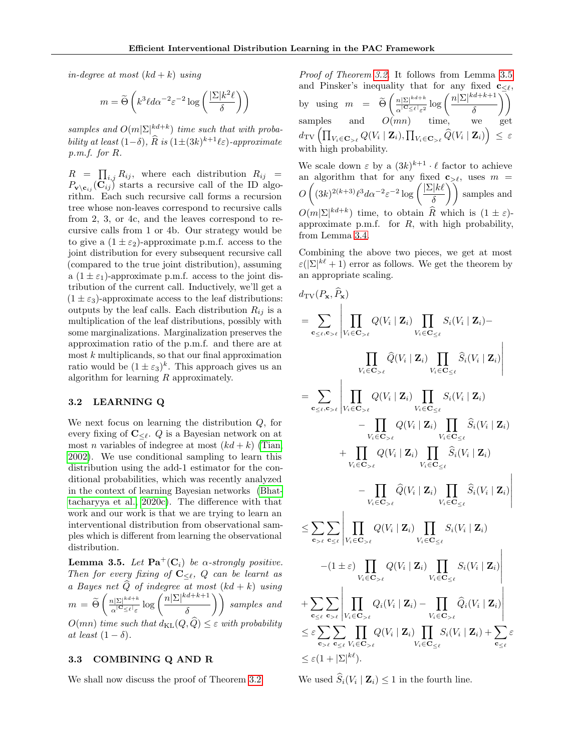in-degree at most  $(kd + k)$  using

$$
m = \widetilde{\Theta}\left(k^3 \ell d\alpha^{-2} \varepsilon^{-2} \log\left(\frac{|\Sigma| k^2 \ell}{\delta}\right)\right)
$$

samples and  $O(m|\Sigma|^{kd+k})$  time such that with probability at least  $(1-\delta)$ ,  $\widehat{R}$  is  $(1\pm (3k)^{k+1}\ell\varepsilon)$ -approximate p.m.f. for R.

 $R = \prod_{i,j} R_{ij}$ , where each distribution  $R_{ij} =$  $P_{\mathbf{v}\setminus\mathbf{c}_{ij}}(\mathbf{C}_{ij})$  starts a recursive call of the ID algorithm. Each such recursive call forms a recursion tree whose non-leaves correspond to recursive calls from 2, 3, or 4c, and the leaves correspond to recursive calls from 1 or 4b. Our strategy would be to give a  $(1 \pm \varepsilon_2)$ -approximate p.m.f. access to the joint distribution for every subsequent recursive call (compared to the true joint distribution), assuming a  $(1 \pm \varepsilon_1)$ -approximate p.m.f. access to the joint distribution of the current call. Inductively, we'll get a  $(1 \pm \varepsilon_3)$ -approximate access to the leaf distributions: outputs by the leaf calls. Each distribution  $R_{ij}$  is a multiplication of the leaf distributions, possibly with some marginalizations. Marginalization preserves the approximation ratio of the p.m.f. and there are at most  $k$  multiplicands, so that our final approximation ratio would be  $(1 \pm \varepsilon_3)^k$ . This approach gives us an algorithm for learning R approximately.

#### 3.2 LEARNING Q

We next focus on learning the distribution  $Q$ , for every fixing of  $\mathbf{C}_{\leq \ell}$ . Q is a Bayesian network on at most *n* variables of indegree at most  $(kd + k)$  [\(Tian,](#page-10-2) [2002\)](#page-10-2). We use conditional sampling to learn this distribution using the add-1 estimator for the conditional probabilities, which was recently analyzed in the context of learning Bayesian networks [\(Bhat](#page-9-7)[tacharyya et al., 2020c\)](#page-9-7). The difference with that work and our work is that we are trying to learn an interventional distribution from observational samples which is different from learning the observational distribution.

<span id="page-7-0"></span>**Lemma 3.5.** Let  $\mathbf{Pa}^+(\mathbf{C}_i)$  be a-strongly positive. Then for every fixing of  $C_{\leq \ell}$ , Q can be learnt as a Bayes net  $\widehat{Q}$  of indegree at most  $(kd + k)$  using  $m = \widetilde{\Theta}\left(\frac{n|\Sigma|^{kd+k}}{\alpha^{\mid \mathbf{C}} \leq \ell\mid \varepsilon}\right)$  $\frac{n|\Sigma|^{kd+k}}{\alpha^{|\mathbf{C}_{\leq \ell}|_{\mathcal{E}}}} \log \left( \frac{n|\Sigma|^{kd+k+1}}{\delta} \right)$  $\left(\frac{d+k+1}{\delta}\right)$  samples and  $O(mn)$  time such that  $d_{KL}(Q, \hat{Q}) \leq \varepsilon$  with probability at least  $(1 - \delta)$ .

#### 3.3 COMBINING Q AND R

We shall now discuss the proof of Theorem [3.2.](#page-5-0)

Proof of Theorem [3.2.](#page-5-0) It follows from Lemma [3.5](#page-7-0) and Pinsker's inequality that for any fixed  $c_{\leq \ell}$ , by using  $m = \widetilde{\Theta} \left( \frac{n |\Sigma|^{k d + k}}{\alpha^{|\mathbf{C}|} \leq \ell | \varepsilon^2} \right)$  $\frac{n|\Sigma|^{kd+k}}{\alpha^{|\mathbf{C}_{\leq \ell}|}\varepsilon^2}\log\left(\frac{n|\Sigma|^{kd+k+1}}{\delta}\right)$  $\delta$  $\setminus$ samples and  $O(mn)$  time, we get  $d_{\text{TV}}\left( \prod_{V_i \in \mathbf{C}_{> \ell}} Q(V_i \mid \mathbf{Z}_i), \prod_{V_i \in \mathbf{C}_{> \ell}} \widehat{Q}(V_i \mid \mathbf{Z}_i) \right) \, \leq \, \varepsilon$ with high probability.

We scale down  $\varepsilon$  by a  $(3k)^{k+1} \cdot \ell$  factor to achieve an algorithm that for any fixed  $c_{\geq \ell}$ , uses  $m =$  $O\left((3k)^{2(k+3)}\ell^3 d\alpha^{-2} \varepsilon^{-2} \log\left(\frac{|\Sigma| k\ell}{\varepsilon}\right)\right)$  $\left(\frac{1}{\delta}\right)$  samples and  $O(m|\Sigma|^{kd+k})$  time, to obtain  $\widehat{R}$  which is  $(1 \pm \varepsilon)$ approximate p.m.f. for  $R$ , with high probability, from Lemma [3.4.](#page-6-0)

Combining the above two pieces, we get at most  $\varepsilon(|\Sigma|^{k\ell}+1)$  error as follows. We get the theorem by an appropriate scaling.

$$
d_{\text{TV}}(P_{\mathbf{x}}, \hat{P}_{\mathbf{x}})
$$
\n
$$
= \sum_{\mathbf{c}_{\leq \ell}, \mathbf{c}_{>\ell}} \left| \prod_{V_i \in \mathbf{C}_{>\ell}} Q(V_i \mid \mathbf{Z}_i) \prod_{V_i \in \mathbf{C}_{\leq \ell}} S_i(V_i \mid \mathbf{Z}_i) - \prod_{V_i \in \mathbf{C}_{>\ell}} \hat{Q}(V_i \mid \mathbf{Z}_i) \prod_{V_i \in \mathbf{C}_{\leq \ell}} \hat{S}_i(V_i \mid \mathbf{Z}_i) \right|
$$
\n
$$
= \sum_{\mathbf{c}_{\leq \ell}, \mathbf{c}_{>\ell}} \left| \prod_{V_i \in \mathbf{C}_{>\ell}} Q(V_i \mid \mathbf{Z}_i) \prod_{V_i \in \mathbf{C}_{\leq \ell}} S_i(V_i \mid \mathbf{Z}_i) - \prod_{V_i \in \mathbf{C}_{>\ell}} Q(V_i \mid \mathbf{Z}_i) \prod_{V_i \in \mathbf{C}_{\leq \ell}} \hat{S}_i(V_i \mid \mathbf{Z}_i) - \prod_{V_i \in \mathbf{C}_{>\ell}} Q(V_i \mid \mathbf{Z}_i) \prod_{V_i \in \mathbf{C}_{\leq \ell}} \hat{S}_i(V_i \mid \mathbf{Z}_i) - \prod_{V_i \in \mathbf{C}_{>\ell}} \hat{Q}(V_i \mid \mathbf{Z}_i) \prod_{V_i \in \mathbf{C}_{\leq \ell}} \hat{S}_i(V_i \mid \mathbf{Z}_i) - \prod_{V_i \in \mathbf{C}_{>\ell}} \hat{Q}(V_i \mid \mathbf{Z}_i) \prod_{V_i \in \mathbf{C}_{\leq \ell}} S_i(V_i \mid \mathbf{Z}_i) \right|
$$
\n
$$
\leq \sum_{\mathbf{c}_{>\ell}} \sum_{\mathbf{c}_{\leq \ell}} \left| \prod_{V_i \in \mathbf{C}_{>\ell}} Q(V_i \mid \mathbf{Z}_i) \prod_{V_i \in \mathbf{C}_{\leq \ell}} S_i(V_i \mid \mathbf{Z}_i) \right|
$$
\n
$$
+ \sum_{\mathbf{c}_{\leq \ell}} \sum_{\mathbf{c}_{>\ell}} \left| \prod_{V_i \in \mathbf{C}_{>\ell}} Q(V_i \mid \mathbf{Z}_i) \prod_{V_i \in \
$$

We used  $S_i(V_i | \mathbf{Z}_i) \leq 1$  in the fourth line.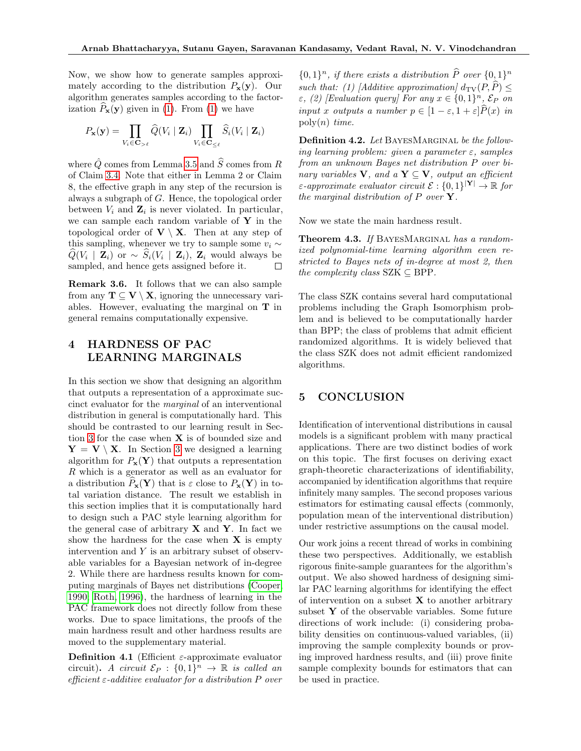Now, we show how to generate samples approximately according to the distribution  $P_{\mathbf{x}}(\mathbf{y})$ . Our algorithm generates samples according to the factorization  $\hat{P}_{\mathbf{x}}(\mathbf{y})$  given in [\(1\)](#page-6-2). From (1) we have

$$
P_{\mathbf{x}}(\mathbf{y}) = \prod_{V_i \in \mathbf{C}_{>\ell}} \widehat{Q}(V_i \mid \mathbf{Z}_i) \prod_{V_i \in \mathbf{C}_{\leq \ell}} \widehat{S}_i(V_i \mid \mathbf{Z}_i)
$$

where  $\hat{Q}$  comes from Lemma [3.5](#page-7-0) and  $\hat{S}$  comes from R of Claim [3.4.](#page-6-0) Note that either in Lemma 2 or Claim 8, the effective graph in any step of the recursion is always a subgraph of G. Hence, the topological order between  $V_i$  and  $\mathbf{Z}_i$  is never violated. In particular, we can sample each random variable of  $Y$  in the topological order of  $V \setminus X$ . Then at any step of this sampling, whenever we try to sample some  $v_i \sim$  $Q(V_i \mid \mathbf{Z}_i)$  or  $\sim S_i(V_i \mid \mathbf{Z}_i)$ ,  $\mathbf{Z}_i$  would always be sampled, and hence gets assigned before it.  $\Box$ 

Remark 3.6. It follows that we can also sample from any  $\mathbf{T} \subseteq \mathbf{V} \setminus \mathbf{X}$ , ignoring the unnecessary variables. However, evaluating the marginal on T in general remains computationally expensive.

## 4 HARDNESS OF PAC LEARNING MARGINALS

In this section we show that designing an algorithm that outputs a representation of a approximate succinct evaluator for the marginal of an interventional distribution in general is computationally hard. This should be contrasted to our learning result in Sec-tion [3](#page-5-1) for the case when  $X$  is of bounded size and  $Y = V \setminus X$ . In Section [3](#page-5-1) we designed a learning algorithm for  $P_{\mathbf{x}}(\mathbf{Y})$  that outputs a representation R which is a generator as well as an evaluator for a distribution  $P_{\mathbf{x}}(\mathbf{Y})$  that is  $\varepsilon$  close to  $P_{\mathbf{x}}(\mathbf{Y})$  in total variation distance. The result we establish in this section implies that it is computationally hard to design such a PAC style learning algorithm for the general case of arbitrary  $X$  and  $Y$ . In fact we show the hardness for the case when  $X$  is empty intervention and  $Y$  is an arbitrary subset of observable variables for a Bayesian network of in-degree 2. While there are hardness results known for computing marginals of Bayes net distributions [\(Cooper,](#page-9-17) [1990;](#page-9-17) [Roth, 1996\)](#page-9-18), the hardness of learning in the PAC framework does not directly follow from these works. Due to space limitations, the proofs of the main hardness result and other hardness results are moved to the supplementary material.

Definition 4.1 (Efficient  $\varepsilon$ -approximate evaluator circuit). A circuit  $\mathcal{E}_P : \{0,1\}^n \to \mathbb{R}$  is called an efficient  $\varepsilon$ -additive evaluator for a distribution P over

 ${0,1}^n$ , if there exists a distribution  $\widehat{P}$  over  ${0,1}^n$ such that: (1) [Additive approximation]  $d_{\text{TV}}(P, \hat{P})$  <  $\varepsilon$ , (2) [Evaluation query] For any  $x \in \{0,1\}^n$ ,  $\mathcal{E}_P$  on input x outputs a number  $p \in [1-\varepsilon, 1+\varepsilon]\widehat{P}(x)$  in  $\mathrm{poly}(n)$  time.

Definition 4.2. Let BAYESMARGINAL be the following learning problem: given a parameter  $\varepsilon$ , samples from an unknown Bayes net distribution P over binary variables V, and a  $Y \subseteq V$ , output an efficient  $\varepsilon$ -approximate evaluator circuit  $\mathcal{E}: \{0,1\}^{|\mathbf{Y}|} \to \mathbb{R}$  for the marginal distribution of  $P$  over  $Y$ .

Now we state the main hardness result.

Theorem 4.3. If BAYESMARGINAL has a randomized polynomial-time learning algorithm even restricted to Bayes nets of in-degree at most 2, then the complexity class  $SZK \subseteq BPP$ .

The class SZK contains several hard computational problems including the Graph Isomorphism problem and is believed to be computationally harder than BPP; the class of problems that admit efficient randomized algorithms. It is widely believed that the class SZK does not admit efficient randomized algorithms.

## 5 CONCLUSION

Identification of interventional distributions in causal models is a significant problem with many practical applications. There are two distinct bodies of work on this topic. The first focuses on deriving exact graph-theoretic characterizations of identifiability, accompanied by identification algorithms that require infinitely many samples. The second proposes various estimators for estimating causal effects (commonly, population mean of the interventional distribution) under restrictive assumptions on the causal model.

Our work joins a recent thread of works in combining these two perspectives. Additionally, we establish rigorous finite-sample guarantees for the algorithm's output. We also showed hardness of designing similar PAC learning algorithms for identifying the effect of intervention on a subset  $X$  to another arbitrary subset  $Y$  of the observable variables. Some future directions of work include: (i) considering probability densities on continuous-valued variables, (ii) improving the sample complexity bounds or proving improved hardness results, and (iii) prove finite sample complexity bounds for estimators that can be used in practice.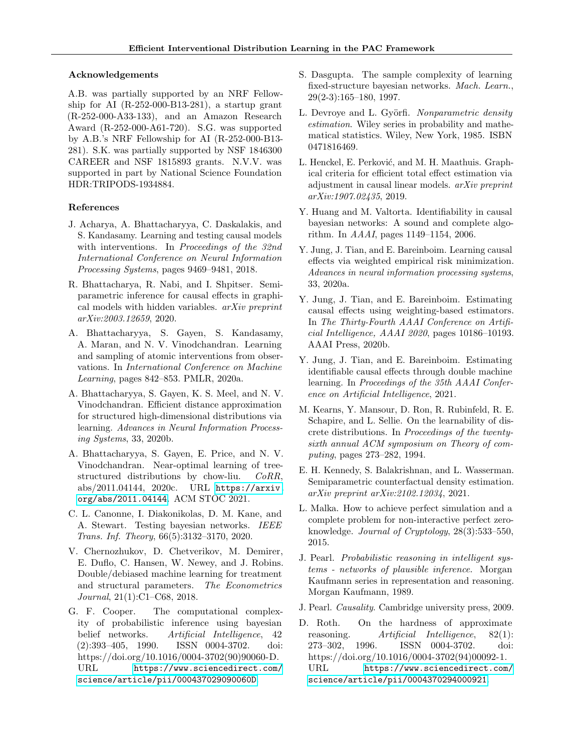#### Acknowledgements

A.B. was partially supported by an NRF Fellowship for AI  $(R-252-000-B13-281)$ , a startup grant (R-252-000-A33-133), and an Amazon Research Award (R-252-000-A61-720). S.G. was supported by A.B.'s NRF Fellowship for AI (R-252-000-B13- 281). S.K. was partially supported by NSF 1846300 CAREER and NSF 1815893 grants. N.V.V. was supported in part by National Science Foundation HDR:TRIPODS-1934884.

#### References

- <span id="page-9-4"></span>J. Acharya, A. Bhattacharyya, C. Daskalakis, and S. Kandasamy. Learning and testing causal models with interventions. In Proceedings of the 32nd International Conference on Neural Information Processing Systems, pages 9469–9481, 2018.
- <span id="page-9-12"></span>R. Bhattacharya, R. Nabi, and I. Shpitser. Semiparametric inference for causal effects in graphical models with hidden variables. arXiv preprint arXiv:2003.12659, 2020.
- <span id="page-9-5"></span>A. Bhattacharyya, S. Gayen, S. Kandasamy, A. Maran, and N. V. Vinodchandran. Learning and sampling of atomic interventions from observations. In International Conference on Machine Learning, pages 842–853. PMLR, 2020a.
- <span id="page-9-6"></span>A. Bhattacharyya, S. Gayen, K. S. Meel, and N. V. Vinodchandran. Efficient distance approximation for structured high-dimensional distributions via learning. Advances in Neural Information Processing Systems, 33, 2020b.
- <span id="page-9-7"></span>A. Bhattacharyya, S. Gayen, E. Price, and N. V. Vinodchandran. Near-optimal learning of treestructured distributions by chow-liu. CoRR, abs/2011.04144, 2020c. URL [https://arxiv.](https://arxiv.org/abs/2011.04144) [org/abs/2011.04144](https://arxiv.org/abs/2011.04144). ACM STOC 2021.
- <span id="page-9-16"></span>C. L. Canonne, I. Diakonikolas, D. M. Kane, and A. Stewart. Testing bayesian networks. IEEE Trans. Inf. Theory, 66(5):3132–3170, 2020.
- <span id="page-9-13"></span>V. Chernozhukov, D. Chetverikov, M. Demirer, E. Duflo, C. Hansen, W. Newey, and J. Robins. Double/debiased machine learning for treatment and structural parameters. The Econometrics Journal, 21(1):C1–C68, 2018.
- <span id="page-9-17"></span>G. F. Cooper. The computational complexity of probabilistic inference using bayesian belief networks. Artificial Intelligence, 42 (2):393–405, 1990. ISSN 0004-3702. doi: https://doi.org/10.1016/0004-3702(90)90060-D. URL [https://www.sciencedirect.com/](https://www.sciencedirect.com/science/article/pii/000437029090060D) [science/article/pii/000437029090060D](https://www.sciencedirect.com/science/article/pii/000437029090060D).
- <span id="page-9-19"></span>S. Dasgupta. The sample complexity of learning fixed-structure bayesian networks. Mach. Learn., 29(2-3):165–180, 1997.
- <span id="page-9-0"></span>L. Devroye and L. Györfi. Nonparametric density estimation. Wiley series in probability and mathematical statistics. Wiley, New York, 1985. ISBN 0471816469.
- <span id="page-9-9"></span>L. Henckel, E. Perković, and M. H. Maathuis. Graphical criteria for efficient total effect estimation via adjustment in causal linear models. arXiv preprint arXiv:1907.02435, 2019.
- <span id="page-9-3"></span>Y. Huang and M. Valtorta. Identifiability in causal bayesian networks: A sound and complete algorithm. In AAAI, pages 1149–1154, 2006.
- <span id="page-9-10"></span>Y. Jung, J. Tian, and E. Bareinboim. Learning causal effects via weighted empirical risk minimization. Advances in neural information processing systems, 33, 2020a.
- <span id="page-9-20"></span>Y. Jung, J. Tian, and E. Bareinboim. Estimating causal effects using weighting-based estimators. In The Thirty-Fourth AAAI Conference on Artificial Intelligence, AAAI 2020, pages 10186–10193. AAAI Press, 2020b.
- <span id="page-9-11"></span>Y. Jung, J. Tian, and E. Bareinboim. Estimating identifiable causal effects through double machine learning. In Proceedings of the 35th AAAI Conference on Artificial Intelligence, 2021.
- <span id="page-9-1"></span>M. Kearns, Y. Mansour, D. Ron, R. Rubinfeld, R. E. Schapire, and L. Sellie. On the learnability of discrete distributions. In Proceedings of the twentysixth annual ACM symposium on Theory of computing, pages 273–282, 1994.
- <span id="page-9-14"></span>E. H. Kennedy, S. Balakrishnan, and L. Wasserman. Semiparametric counterfactual density estimation. arXiv preprint arXiv:2102.12034, 2021.
- <span id="page-9-15"></span>L. Malka. How to achieve perfect simulation and a complete problem for non-interactive perfect zeroknowledge. Journal of Cryptology, 28(3):533–550, 2015.
- <span id="page-9-8"></span>J. Pearl. Probabilistic reasoning in intelligent systems - networks of plausible inference. Morgan Kaufmann series in representation and reasoning. Morgan Kaufmann, 1989.
- <span id="page-9-2"></span>J. Pearl. Causality. Cambridge university press, 2009.
- <span id="page-9-18"></span>D. Roth. On the hardness of approximate reasoning. Artificial Intelligence, 82(1): 273–302, 1996. ISSN 0004-3702. doi: https://doi.org/10.1016/0004-3702(94)00092-1. URL [https://www.sciencedirect.com/](https://www.sciencedirect.com/science/article/pii/0004370294000921) [science/article/pii/0004370294000921](https://www.sciencedirect.com/science/article/pii/0004370294000921).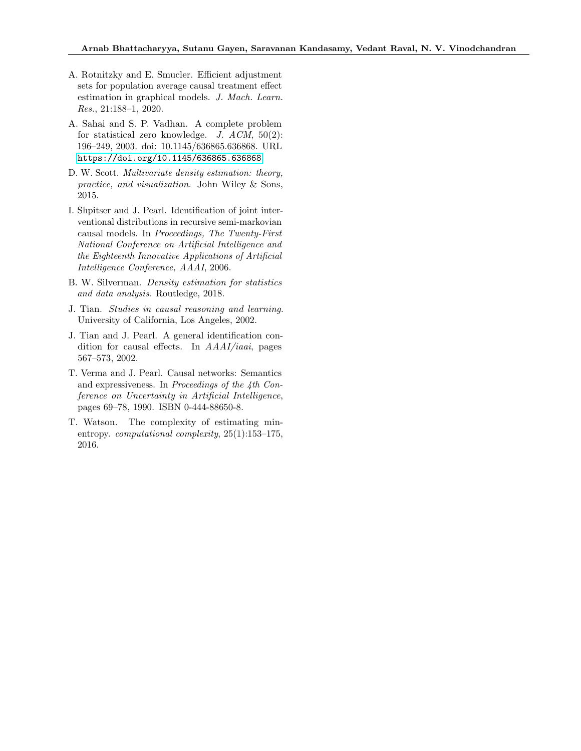- <span id="page-10-5"></span>A. Rotnitzky and E. Smucler. Efficient adjustment sets for population average causal treatment effect estimation in graphical models. J. Mach. Learn. Res., 21:188–1, 2020.
- <span id="page-10-7"></span>A. Sahai and S. P. Vadhan. A complete problem for statistical zero knowledge.  $J.$   $ACM$ ,  $50(2)$ : 196–249, 2003. doi: 10.1145/636865.636868. URL <https://doi.org/10.1145/636865.636868>.
- <span id="page-10-0"></span>D. W. Scott. Multivariate density estimation: theory, practice, and visualization. John Wiley & Sons, 2015.
- <span id="page-10-3"></span>I. Shpitser and J. Pearl. Identification of joint interventional distributions in recursive semi-markovian causal models. In Proceedings, The Twenty-First National Conference on Artificial Intelligence and the Eighteenth Innovative Applications of Artificial Intelligence Conference, AAAI, 2006.
- <span id="page-10-1"></span>B. W. Silverman. Density estimation for statistics and data analysis. Routledge, 2018.
- <span id="page-10-2"></span>J. Tian. Studies in causal reasoning and learning. University of California, Los Angeles, 2002.
- <span id="page-10-4"></span>J. Tian and J. Pearl. A general identification condition for causal effects. In AAAI/iaai, pages 567–573, 2002.
- <span id="page-10-8"></span>T. Verma and J. Pearl. Causal networks: Semantics and expressiveness. In Proceedings of the 4th Conference on Uncertainty in Artificial Intelligence, pages 69–78, 1990. ISBN 0-444-88650-8.
- <span id="page-10-6"></span>T. Watson. The complexity of estimating minentropy. computational complexity, 25(1):153–175, 2016.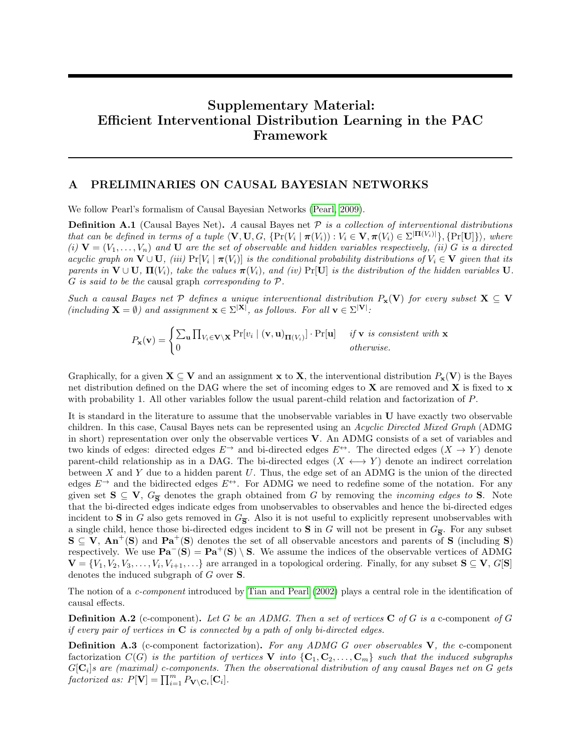# Supplementary Material: Efficient Interventional Distribution Learning in the PAC Framework

## A PRELIMINARIES ON CAUSAL BAYESIAN NETWORKS

We follow Pearl's formalism of Causal Bayesian Networks [\(Pearl, 2009\)](#page-9-2).

**Definition A.1** (Causal Bayes Net). A causal Bayes net  $P$  is a collection of interventional distributions that can be defined in terms of a tuple  $\langle \mathbf{V}, \mathbf{U}, G, \{ \Pr(V_i \mid \boldsymbol{\pi}(V_i)) : V_i \in \mathbf{V}, \boldsymbol{\pi}(V_i) \in \Sigma^{|\mathbf{\Pi}(V_i)|} \}, \{ \Pr[\mathbf{U}] \} \rangle$ , where (i)  $V = (V_1, \ldots, V_n)$  and U are the set of observable and hidden variables respectively, (ii) G is a directed acyclic graph on  $\mathbf{V} \cup \mathbf{U}$ , (iii)  $Pr[V_i \mid \boldsymbol{\pi}(V_i)]$  is the conditional probability distributions of  $V_i \in \mathbf{V}$  given that its parents in  $\mathbf{V} \cup \mathbf{U}$ ,  $\mathbf{\Pi}(V_i)$ , take the values  $\boldsymbol{\pi}(V_i)$ , and (iv) Pr[U] is the distribution of the hidden variables U.  $G$  is said to be the causal graph corresponding to  $\mathcal{P}.$ 

Such a causal Bayes net P defines a unique interventional distribution  $P_x(V)$  for every subset  $X \subseteq V$  $(including \mathbf{X} = \emptyset)$  and assignment  $\mathbf{x} \in \Sigma^{|\mathbf{X}|}$ , as follows. For all  $\mathbf{v} \in \Sigma^{|\mathbf{V}|}$ :

$$
P_{\mathbf{x}}(\mathbf{v}) = \begin{cases} \sum_{\mathbf{u}} \prod_{V_i \in \mathbf{V} \setminus \mathbf{X}} \Pr[v_i \mid (\mathbf{v}, \mathbf{u})_{\Pi(V_i)}] \cdot \Pr[\mathbf{u}] & \text{if } \mathbf{v} \text{ is consistent with } \mathbf{x} \\ 0 & \text{otherwise.} \end{cases}
$$

Graphically, for a given  $X \subseteq V$  and an assignment x to X, the interventional distribution  $P_x(V)$  is the Bayes net distribution defined on the DAG where the set of incoming edges to  $X$  are removed and  $X$  is fixed to  $x$ with probability 1. All other variables follow the usual parent-child relation and factorization of P.

It is standard in the literature to assume that the unobservable variables in U have exactly two observable children. In this case, Causal Bayes nets can be represented using an Acyclic Directed Mixed Graph (ADMG in short) representation over only the observable vertices V. An ADMG consists of a set of variables and two kinds of edges: directed edges  $E^{\rightarrow}$  and bi-directed edges  $E^{\leftrightarrow}$ . The directed edges  $(X \rightarrow Y)$  denote parent-child relationship as in a DAG. The bi-directed edges  $(X \leftrightarrow Y)$  denote an indirect correlation between X and Y due to a hidden parent U. Thus, the edge set of an ADMG is the union of the directed edges  $E^{\rightarrow}$  and the bidirected edges  $E^{\leftrightarrow}$ . For ADMG we need to redefine some of the notation. For any given set  $S \subseteq V$ ,  $G_{\overline{S}}$  denotes the graph obtained from G by removing the *incoming edges to* S. Note that the bi-directed edges indicate edges from unobservables to observables and hence the bi-directed edges incident to S in G also gets removed in  $G_{\overline{S}}$ . Also it is not useful to explicitly represent unobservables with a single child, hence those bi-directed edges incident to **S** in G will not be present in  $G_{\overline{S}}$ . For any subset  $S \subseteq V$ ,  $An^+(S)$  and  $Pa^+(S)$  denotes the set of all observable ancestors and parents of S (including S) respectively. We use  $\mathbf{Pa}^-(\mathbf{S}) = \mathbf{Pa}^+(\mathbf{S}) \setminus \mathbf{S}$ . We assume the indices of the observable vertices of ADMG  $\mathbf{V} = \{V_1, V_2, V_3, \ldots, V_i, V_{i+1}, \ldots\}$  are arranged in a topological ordering. Finally, for any subset  $\mathbf{S} \subseteq \mathbf{V}$ ,  $G[\mathbf{S}]$ denotes the induced subgraph of G over S.

The notion of a c-component introduced by [Tian and Pearl](#page-10-4) [\(2002\)](#page-10-4) plays a central role in the identification of causal effects.

**Definition A.2** (c-component). Let G be an ADMG. Then a set of vertices  $C$  of G is a c-component of G if every pair of vertices in  $C$  is connected by a path of only bi-directed edges.

Definition A.3 (c-component factorization). For any ADMG G over observables V, the c-component factorization  $C(G)$  is the partition of vertices V into  $\{C_1, C_2, \ldots, C_m\}$  such that the induced subgraphs  $G[\mathbf{C}_i]$ s are (maximal) c-components. Then the observational distribution of any causal Bayes net on  $G$  gets factorized as:  $P[\mathbf{V}] = \prod_{i=1}^{m} P_{\mathbf{V} \setminus \mathbf{C}_i}[\mathbf{C}_i].$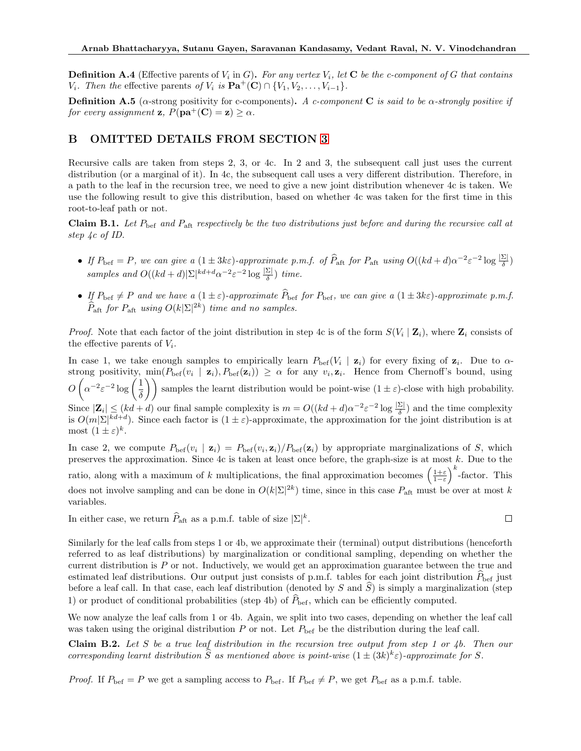**Definition A.4** (Effective parents of  $V_i$  in G). For any vertex  $V_i$ , let  $C$  be the c-component of G that contains  $V_i$ . Then the effective parents of  $V_i$  is  $\mathbf{Pa}^+(\mathbf{C}) \cap \{V_1, V_2, \ldots, V_{i-1}\}.$ 

**Definition A.5** (α-strong positivity for c-components). A c-component C is said to be  $\alpha$ -strongly positive if for every assignment **z**,  $P(\mathbf{pa}^+(\mathbf{C}) = \mathbf{z}) \geq \alpha$ .

## <span id="page-12-0"></span>B OMITTED DETAILS FROM SECTION [3](#page-5-1)

Recursive calls are taken from steps 2, 3, or 4c. In 2 and 3, the subsequent call just uses the current distribution (or a marginal of it). In 4c, the subsequent call uses a very different distribution. Therefore, in a path to the leaf in the recursion tree, we need to give a new joint distribution whenever 4c is taken. We use the following result to give this distribution, based on whether 4c was taken for the first time in this root-to-leaf path or not.

**Claim B.1.** Let  $P_{\text{bef}}$  and  $P_{\text{aft}}$  respectively be the two distributions just before and during the recursive call at step 4c of ID.

- If  $P_{\text{bef}} = P$ , we can give a  $(1 \pm 3k\varepsilon)$ -approximate p.m.f. of  $\widehat{P}_{\text{aft}}$  for  $P_{\text{aft}}$  using  $O((kd+d)\alpha^{-2}\varepsilon^{-2}\log\frac{|\Sigma|}{\delta})$ samples and  $O((kd+d)|\Sigma|^{kd+d}\alpha^{-2}\varepsilon^{-2}\log\frac{|\Sigma|}{\delta})$  time.
- If  $P_{\text{bef}} \neq P$  and we have a  $(1 \pm \varepsilon)$ -approximate  $\widehat{P}_{\text{bef}}$  for  $P_{\text{bef}}$ , we can give a  $(1 \pm 3k\varepsilon)$ -approximate p.m.f.  $\widehat{P}_{\mathrm{aft}}$  for  $P_{\mathrm{aft}}$  using  $O(k|\Sigma|^{2k})$  time and no samples.

*Proof.* Note that each factor of the joint distribution in step 4c is of the form  $S(V_i | \mathbf{Z}_i)$ , where  $\mathbf{Z}_i$  consists of the effective parents of  $V_i$ .

In case 1, we take enough samples to empirically learn  $P_{\text{bef}}(V_i \mid \mathbf{z}_i)$  for every fixing of  $\mathbf{z}_i$ . Due to  $\alpha$ strong positivity,  $\min(P_{\text{bef}}(v_i \mid \mathbf{z}_i), P_{\text{bef}}(\mathbf{z}_i)) \geq \alpha$  for any  $v_i, \mathbf{z}_i$ . Hence from Chernoff's bound, using  $O\left(\alpha^{-2} \varepsilon^{-2} \log\left(\frac{1}{\varepsilon}\right)\right)$  $\left(\frac{1}{\delta}\right)$  samples the learnt distribution would be point-wise  $(1 \pm \varepsilon)$ -close with high probability. Since  $|\mathbf{Z}_i| \leq (kd + d)$  our final sample complexity is  $m = O((kd + d)\alpha^{-2} \varepsilon^{-2} \log \frac{|\Sigma|}{\delta})$  and the time complexity is  $O(m|\Sigma|^{kd+d})$ . Since each factor is  $(1 \pm \varepsilon)$ -approximate, the approximation for the joint distribution is at most  $(1 \pm \varepsilon)^k$ .

In case 2, we compute  $P_{\text{bef}}(v_i \mid \mathbf{z}_i) = P_{\text{bef}}(v_i, \mathbf{z}_i) / P_{\text{bef}}(\mathbf{z}_i)$  by appropriate marginalizations of S, which preserves the approximation. Since 4c is taken at least once before, the graph-size is at most k. Due to the ratio, along with a maximum of k multiplications, the final approximation becomes  $\left(\frac{1+\varepsilon}{1-\varepsilon}\right)^k$ -factor. This does not involve sampling and can be done in  $O(k|\Sigma|^{2k})$  time, since in this case  $P_{\text{aft}}$  must be over at most k variables.

In either case, we return  $\widehat{P}_{\mathrm{aft}}$  as a p.m.f. table of size  $|\Sigma|^k$ .

 $\Box$ 

Similarly for the leaf calls from steps 1 or 4b, we approximate their (terminal) output distributions (henceforth referred to as leaf distributions) by marginalization or conditional sampling, depending on whether the current distribution is P or not. Inductively, we would get an approximation guarantee between the true and estimated leaf distributions. Our output just consists of p.m.f. tables for each joint distribution  $P_{\text{bef}}$  just before a leaf call. In that case, each leaf distribution (denoted by S and  $\overline{S}$ ) is simply a marginalization (step 1) or product of conditional probabilities (step 4b) of  $\hat{P}_{\text{bef}}$ , which can be efficiently computed.

We now analyze the leaf calls from 1 or 4b. Again, we split into two cases, depending on whether the leaf call was taken using the original distribution  $P$  or not. Let  $P_{\text{bef}}$  be the distribution during the leaf call.

Claim B.2. Let S be a true leaf distribution in the recursion tree output from step 1 or 4b. Then our corresponding learnt distribution  $\hat{S}$  as mentioned above is point-wise  $(1 \pm (3k)^k \varepsilon)$ -approximate for S.

*Proof.* If  $P_{\text{bef}} = P$  we get a sampling access to  $P_{\text{bef}}$ . If  $P_{\text{bef}} \neq P$ , we get  $P_{\text{bef}}$  as a p.m.f. table.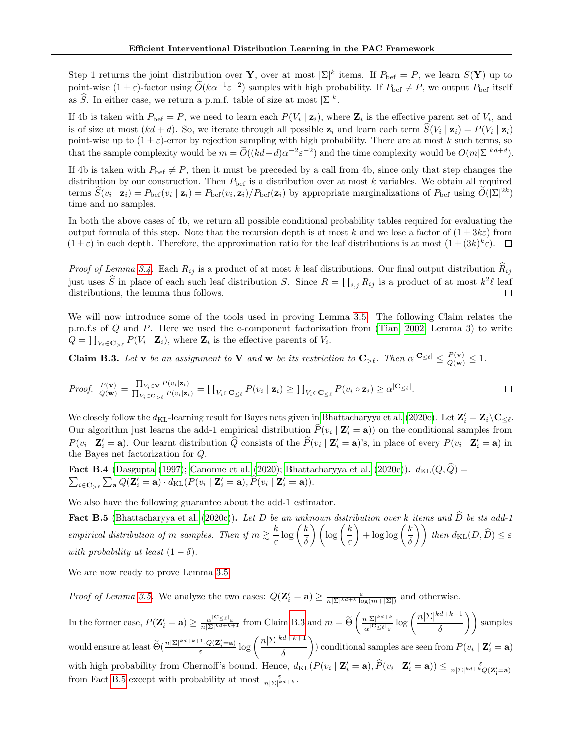Step 1 returns the joint distribution over Y, over at most  $|\Sigma|^k$  items. If  $P_{\text{bef}} = P$ , we learn  $S(Y)$  up to point-wise  $(1 \pm \varepsilon)$ -factor using  $\widetilde{O}(k\alpha^{-1}\varepsilon^{-2})$  samples with high probability. If  $P_{\text{bef}} \neq P$ , we output  $P_{\text{bef}}$  itself as  $\widehat{S}$ . In either case, we return a p.m.f. table of size at most  $|\Sigma|^k$ .

If 4b is taken with  $P_{\text{bef}} = P$ , we need to learn each  $P(V_i | \mathbf{z}_i)$ , where  $\mathbf{Z}_i$  is the effective parent set of  $V_i$ , and is of size at most  $(kd + d)$ . So, we iterate through all possible  $z_i$  and learn each term  $S(V_i | z_i) = P(V_i | z_i)$ point-wise up to  $(1 \pm \varepsilon)$ -error by rejection sampling with high probability. There are at most k such terms, so that the sample complexity would be  $m = \tilde{O}((kd+d)\alpha^{-2}\varepsilon^{-2})$  and the time complexity would be  $O(m|\Sigma|^{kd+d})$ .

If 4b is taken with  $P_{\text{bef}} \neq P$ , then it must be preceded by a call from 4b, since only that step changes the distribution by our construction. Then  $P_{\text{bef}}$  is a distribution over at most k variables. We obtain all required terms  $\hat{S}(v_i | \mathbf{z}_i) = P_{\text{bef}}(v_i | \mathbf{z}_i) = P_{\text{bef}}(v_i, \mathbf{z}_i) / P_{\text{bef}}(\mathbf{z}_i)$  by appropriate marginalizations of  $P_{\text{bef}}$  using  $\tilde{O}(|\Sigma|^{2k})$ time and no samples.

In both the above cases of 4b, we return all possible conditional probability tables required for evaluating the output formula of this step. Note that the recursion depth is at most k and we lose a factor of  $(1 \pm 3k\varepsilon)$  from  $(1 \pm \varepsilon)$  in each depth. Therefore, the approximation ratio for the leaf distributions is at most  $(1 \pm (3k)^k \varepsilon)$ .

*Proof of Lemma [3.4.](#page-6-0)* Each  $R_{ij}$  is a product of at most k leaf distributions. Our final output distribution  $\hat{R}_{ij}$ just uses  $\hat{S}$  in place of each such leaf distribution S. Since  $R = \prod_{i,j} R_{ij}$  is a product of at most  $k^2\ell$  leaf distributions, the lemma thus follows. П

We will now introduce some of the tools used in proving Lemma [3.5.](#page-7-0) The following Claim relates the p.m.f.s of Q and P. Here we used the c-component factorization from [\(Tian, 2002,](#page-10-2) Lemma 3) to write  $Q = \prod_{V_i \in \mathbf{C}_{> \ell}} P(V_i | \mathbf{Z}_i)$ , where  $\mathbf{Z}_i$  is the effective parents of  $V_i$ .

<span id="page-13-0"></span>**Claim B.3.** Let **v** be an assignment to **V** and **w** be its restriction to  $\mathbf{C}_{>\ell}$ . Then  $\alpha^{|\mathbf{C}_{\leq \ell}|} \leq \frac{P(\mathbf{v})}{Q(\mathbf{w})} \leq 1$ .

*Proof.* 
$$
\frac{P(\mathbf{v})}{Q(\mathbf{w})} = \frac{\prod_{V_i \in \mathbf{V}} P(v_i|\mathbf{z}_i)}{\prod_{V_i \in \mathbf{C}_{\geq \ell}} P(v_i|\mathbf{z}_i)} = \prod_{V_i \in \mathbf{C}_{\leq \ell}} P(v_i | \mathbf{z}_i) \geq \prod_{V_i \in \mathbf{C}_{\leq \ell}} P(v_i \circ \mathbf{z}_i) \geq \alpha^{\vert \mathbf{C}_{\leq \ell} \vert}.
$$

We closely follow the  $d_{KL}$ -learning result for Bayes nets given in [Bhattacharyya et al.](#page-9-7) [\(2020c\)](#page-9-7). Let  $\mathbf{Z}'_i = \mathbf{Z}_i \setminus \mathbf{C}_{\leq \ell}$ . Our algorithm just learns the add-1 empirical distribution  $\hat{P}(v_i | \mathbf{Z}'_i = \mathbf{a})$  on the conditional samples from  $P(v_i \mid \mathbf{Z}'_i = \mathbf{a})$ . Our learnt distribution  $\widehat{Q}$  consists of the  $\widehat{P}(v_i \mid \mathbf{Z}'_i = \mathbf{a})$ 's, in place of every  $P(v_i \mid \mathbf{Z}'_i = \mathbf{a})$  in the Bayes net factorization for Q.

<span id="page-13-2"></span>**Fact B.4** [\(Dasgupta](#page-9-19) [\(1997\)](#page-9-19); [Canonne et al.](#page-9-16) [\(2020\)](#page-9-16); [Bhattacharyya et al.](#page-9-7) [\(2020c\)](#page-9-7)).  $d_{\text{KL}}(Q, \hat{Q}) =$  $\sum_{i\in\mathbf{C}_{>\ell}}\sum_{\mathbf{a}}Q(\mathbf{Z}_{i}'=\mathbf{a})\cdot d_{\mathrm{KL}}(P(v_{i} \mid \mathbf{Z}_{i}'=\mathbf{a}), \widehat{P}(v_{i} \mid \mathbf{Z}_{i}'=\mathbf{a})).$ 

We also have the following guarantee about the add-1 estimator.

<span id="page-13-1"></span>**Fact B.5** [\(Bhattacharyya et al.](#page-9-7) [\(2020c\)](#page-9-7)). Let D be an unknown distribution over k items and  $\hat{D}$  be its add-1 empirical distribution of m samples. Then if  $m \gtrsim \frac{k}{n}$  $\frac{k}{\varepsilon} \log \bigg(\frac{k}{\delta}$  $\left(\frac{k}{\delta}\right)\left(\log\left(\frac{k}{\varepsilon}\right)\right)$ ε  $\bigg\} + \log \log \bigg(\frac{k}{s}\bigg)$  $\left(\frac{k}{\delta}\right)\right)$  then  $d_{\text{KL}}(D, \widehat{D}) \leq \varepsilon$ with probability at least  $(1 - \delta)$ .

We are now ready to prove Lemma [3.5.](#page-7-0)

*Proof of Lemma [3.5.](#page-7-0)* We analyze the two cases:  $Q(\mathbf{Z}'_i = \mathbf{a}) \ge \frac{\varepsilon}{n|\Sigma|^{kd+k} \log(m+|\Sigma|)}$  and otherwise.

In the former case,  $P(\mathbf{Z}'_i = \mathbf{a}) \ge \frac{\alpha^{|\mathbf{C}_{\leq \ell}|_{\varepsilon}}}{n|\Sigma|^{kd+k+1}}$  from Claim [B.3](#page-13-0) and  $m = \widetilde{\Theta}\left(\frac{n|\Sigma|^{kd+k}}{\alpha^{|\mathbf{C}_{\leq \ell}|_{\varepsilon}}}\right)$  $\frac{n|\Sigma|^{kd+k}}{\alpha^{|\mathbf{C}_{\leq \ell}|_{\varepsilon}}} \log \left( \frac{n|\Sigma|^{kd+k+1}}{\delta} \right)$  $\left(\frac{d+k+1}{\delta}\right)$  samples would ensure at least  $\widetilde{\Theta}(\frac{n|\Sigma|^{kd+k+1}\cdot Q(\mathbf{Z}'_i=\mathbf{a})}{\varepsilon}\log\left(\frac{n|\Sigma|^{kd+k+1}}{\delta}\right)$ δ ) conditional samples are seen from  $P(v_i | \mathbf{Z}'_i = \mathbf{a})$ with high probability from Chernoff's bound. Hence,  $d_{KL}(P(v_i \mid \mathbf{Z}'_i = \mathbf{a}), \hat{P}(v_i \mid \mathbf{Z}'_i = \mathbf{a})) \le \frac{\varepsilon}{n|\Sigma|^{kd+k}Q(\mathbf{Z}'_i = \mathbf{a})}$ from Fact [B.5](#page-13-1) except with probability at most  $\frac{\varepsilon}{n|\Sigma|^{kd+k}}$ .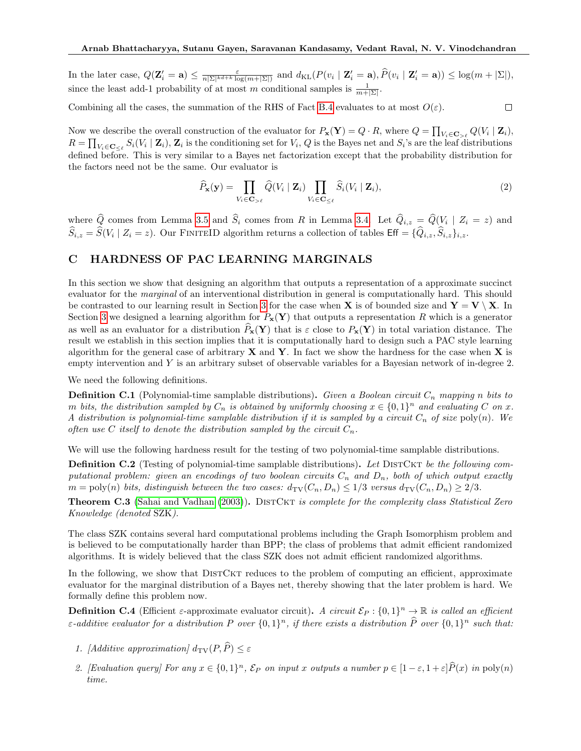In the later case,  $Q(\mathbf{Z}'_i = \mathbf{a}) \leq \frac{\varepsilon}{n|\Sigma|^{kd+k} \log(m+|\Sigma|)}$  and  $d_{\text{KL}}(P(v_i \mid \mathbf{Z}'_i = \mathbf{a}), \widehat{P}(v_i \mid \mathbf{Z}'_i = \mathbf{a})) \leq \log(m + |\Sigma|),$ since the least add-1 probability of at most m conditional samples is  $\frac{1}{m+|\Sigma|}$ .

Combining all the cases, the summation of the RHS of Fact [B.4](#page-13-2) evaluates to at most  $O(\varepsilon)$ .

Now we describe the overall construction of the evaluator for  $P_{\mathbf{x}}(\mathbf{Y}) = Q \cdot R$ , where  $Q = \prod_{V_i \in \mathbf{C}_{>^{\ell}}} Q(V_i \mid \mathbf{Z}_i)$ ,  $R = \prod_{V_i \in \mathbf{C}_{\leq \ell}} S_i(V_i \mid \mathbf{Z}_i)$ ,  $\mathbf{Z}_i$  is the conditioning set for  $V_i$ , Q is the Bayes net and  $S_i$ 's are the leaf distributions defined before. This is very similar to a Bayes net factorization except that the probability distribution for the factors need not be the same. Our evaluator is

$$
\widehat{P}_{\mathbf{x}}(\mathbf{y}) = \prod_{V_i \in \mathbf{C}_{>\ell}} \widehat{Q}(V_i \mid \mathbf{Z}_i) \prod_{V_i \in \mathbf{C}_{\leq \ell}} \widehat{S}_i(V_i \mid \mathbf{Z}_i),\tag{2}
$$

 $\Box$ 

where Q comes from Lemma [3.5](#page-7-0) and  $S_i$  comes from R in Lemma [3.4.](#page-6-0) Let  $Q_{i,z} = Q(V_i \mid Z_i = z)$  and  $\widehat{S}_{i,z} = \widehat{S}(V_i \mid Z_i = z)$ . Our FINITEID algorithm returns a collection of tables  $\mathsf{Eff} = \{\widehat{Q}_{i,z}, \widehat{S}_{i,z}\}_{i,z}$ .

## C HARDNESS OF PAC LEARNING MARGINALS

In this section we show that designing an algorithm that outputs a representation of a approximate succinct evaluator for the *marginal* of an interventional distribution in general is computationally hard. This should be contrasted to our learning result in Section [3](#page-5-1) for the case when **X** is of bounded size and  $\mathbf{Y} = \mathbf{V} \setminus \mathbf{X}$ . In Section [3](#page-5-1) we designed a learning algorithm for  $P_{\mathbf{x}}(\mathbf{Y})$  that outputs a representation R which is a generator as well as an evaluator for a distribution  $\hat{P}_x(Y)$  that is  $\varepsilon$  close to  $P_x(Y)$  in total variation distance. The result we establish in this section implies that it is computationally hard to design such a PAC style learning algorithm for the general case of arbitrary  $X$  and  $Y$ . In fact we show the hardness for the case when  $X$  is empty intervention and Y is an arbitrary subset of observable variables for a Bayesian network of in-degree 2.

We need the following definitions.

**Definition C.1** (Polynomial-time samplable distributions). Given a Boolean circuit  $C_n$  mapping n bits to m bits, the distribution sampled by  $C_n$  is obtained by uniformly choosing  $x \in \{0,1\}^n$  and evaluating C on x. A distribution is polynomial-time samplable distribution if it is sampled by a circuit  $C_n$  of size poly(n). We often use C itself to denote the distribution sampled by the circuit  $C_n$ .

We will use the following hardness result for the testing of two polynomial-time samplable distributions.

**Definition C.2** (Testing of polynomial-time samplable distributions). Let DISTCKT be the following computational problem: given an encodings of two boolean circuits  $C_n$  and  $D_n$ , both of which output exactly  $m = \text{poly}(n)$  bits, distinguish between the two cases:  $d_{\text{TV}}(C_n, D_n) \leq 1/3$  versus  $d_{\text{TV}}(C_n, D_n) \geq 2/3$ .

**Theorem C.3** [\(Sahai and Vadhan](#page-10-7) [\(2003\)](#page-10-7)). DISTCKT is complete for the complexity class Statistical Zero Knowledge (denoted SZK).

The class SZK contains several hard computational problems including the Graph Isomorphism problem and is believed to be computationally harder than BPP; the class of problems that admit efficient randomized algorithms. It is widely believed that the class SZK does not admit efficient randomized algorithms.

In the following, we show that DISTCKT reduces to the problem of computing an efficient, approximate evaluator for the marginal distribution of a Bayes net, thereby showing that the later problem is hard. We formally define this problem now.

**Definition C.4** (Efficient  $\varepsilon$ -approximate evaluator circuit). A circuit  $\mathcal{E}_P: \{0,1\}^n \to \mathbb{R}$  is called an efficient  $\varepsilon$ -additive evaluator for a distribution P over  $\{0,1\}^n$ , if there exists a distribution  $\widehat{P}$  over  $\{0,1\}^n$  such that:

- 1. [Additive approximation]  $d_{\text{TV}}(P, \widehat{P}) \leq \varepsilon$
- 2. [Evaluation query] For any  $x \in \{0,1\}^n$ ,  $\mathcal{E}_P$  on input x outputs a number  $p \in [1-\varepsilon,1+\varepsilon]\widehat{P}(x)$  in  $\text{poly}(n)$ time.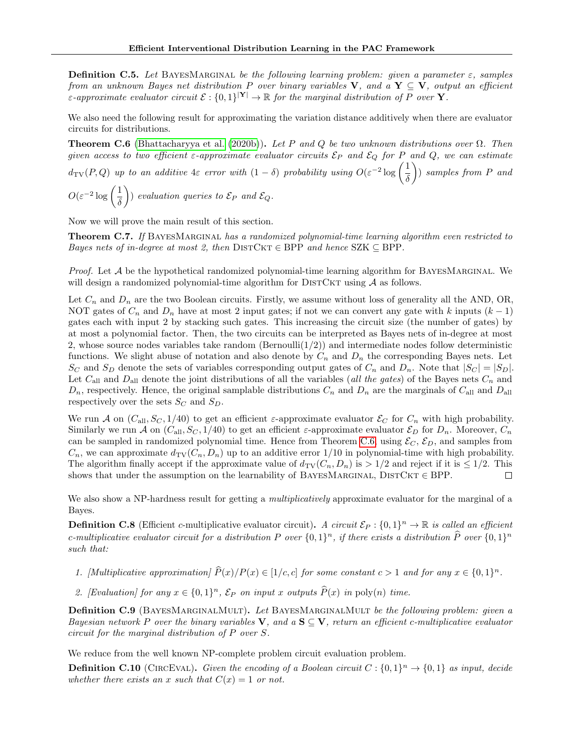**Definition C.5.** Let BAYESMARGINAL be the following learning problem: given a parameter  $\varepsilon$ , samples from an unknown Bayes net distribution P over binary variables V, and a  $Y \subseteq V$ , output an efficient *E*-approximate evaluator circuit  $\mathcal{E}: \{0,1\}^{|\mathbf{Y}|} \to \mathbb{R}$  for the marginal distribution of P over **Y**.

We also need the following result for approximating the variation distance additively when there are evaluator circuits for distributions.

<span id="page-15-0"></span>**Theorem C.6** [\(Bhattacharyya et al.](#page-9-6) [\(2020b\)](#page-9-6)). Let P and Q be two unknown distributions over  $\Omega$ . Then given access to two efficient  $\varepsilon$ -approximate evaluator circuits  $\mathcal{E}_P$  and  $\mathcal{E}_Q$  for P and Q, we can estimate

 $d_{\text{TV}}(P,Q)$  up to an additive 4 $\varepsilon$  error with  $(1 - \delta)$  probability using  $O(\varepsilon^{-2} \log \left( \frac{1}{\varepsilon} \right))$ δ  $\big)$  samples from P and

 $O(\varepsilon^{-2} \log \left( \frac{1}{\varepsilon}\right))$  $\delta$ ) evaluation queries to  $\mathcal{E}_P$  and  $\mathcal{E}_Q$ .

Now we will prove the main result of this section.

<span id="page-15-1"></span>**Theorem C.7.** If BAYESMARGINAL has a randomized polynomial-time learning algorithm even restricted to Bayes nets of in-degree at most 2, then DISTCKT  $\in$  BPP and hence SZK  $\subseteq$  BPP.

*Proof.* Let  $A$  be the hypothetical randomized polynomial-time learning algorithm for BAYESMARGINAL. We will design a randomized polynomial-time algorithm for  $\text{DISTCKT}$  using A as follows.

Let  $C_n$  and  $D_n$  are the two Boolean circuits. Firstly, we assume without loss of generality all the AND, OR, NOT gates of  $C_n$  and  $D_n$  have at most 2 input gates; if not we can convert any gate with k inputs  $(k-1)$ gates each with input 2 by stacking such gates. This increasing the circuit size (the number of gates) by at most a polynomial factor. Then, the two circuits can be interpreted as Bayes nets of in-degree at most 2, whose source nodes variables take random (Bernoulli $(1/2)$ ) and intermediate nodes follow deterministic functions. We slight abuse of notation and also denote by  $C_n$  and  $D_n$  the corresponding Bayes nets. Let  $S_C$  and  $S_D$  denote the sets of variables corresponding output gates of  $C_n$  and  $D_n$ . Note that  $|S_C| = |S_D|$ . Let  $C_{\text{all}}$  and  $D_{\text{all}}$  denote the joint distributions of all the variables (all the gates) of the Bayes nets  $C_n$  and  $D_n$ , respectively. Hence, the original samplable distributions  $C_n$  and  $D_n$  are the marginals of  $C_{all}$  and  $D_{all}$ respectively over the sets  $S_C$  and  $S_D$ .

We run A on  $(C_{all}, S_C, 1/40)$  to get an efficient  $\varepsilon$ -approximate evaluator  $\mathcal{E}_C$  for  $C_n$  with high probability. Similarly we run A on  $(C_{all}, S_C, 1/40)$  to get an efficient  $\varepsilon$ -approximate evaluator  $\mathcal{E}_D$  for  $D_n$ . Moreover,  $C_n$ can be sampled in randomized polynomial time. Hence from Theorem [C.6,](#page-15-0) using  $\mathcal{E}_C$ ,  $\mathcal{E}_D$ , and samples from  $C_n$ , we can approximate  $d_{TV}(C_n, D_n)$  up to an additive error 1/10 in polynomial-time with high probability. The algorithm finally accept if the approximate value of  $d_{\text{TV}}(C_n, D_n)$  is  $> 1/2$  and reject if it is  $\leq 1/2$ . This shows that under the assumption on the learnability of BAYESMARGINAL,  $DISTCKT \in BPP$ . П

We also show a NP-hardness result for getting a *multiplicatively* approximate evaluator for the marginal of a Bayes.

**Definition C.8** (Efficient c-multiplicative evaluator circuit). A circuit  $\mathcal{E}_P$ :  $\{0,1\}^n \to \mathbb{R}$  is called an efficient c-multiplicative evaluator circuit for a distribution P over  $\{0,1\}^n$ , if there exists a distribution  $\widehat{P}$  over  $\{0,1\}^n$ such that:

- 1. [Multiplicative approximation]  $\widehat{P}(x)/P(x) \in [1/c, c]$  for some constant  $c > 1$  and for any  $x \in \{0, 1\}^n$ .
- 2. [Evaluation] for any  $x \in \{0,1\}^n$ ,  $\mathcal{E}_P$  on input x outputs  $\widehat{P}(x)$  in poly(n) time.

Definition C.9 (BAYESMARGINALMULT). Let BAYESMARGINALMULT be the following problem: given a Bayesian network P over the binary variables V, and a  $S \subseteq V$ , return an efficient c-multiplicative evaluator circuit for the marginal distribution of P over S.

We reduce from the well known NP-complete problem circuit evaluation problem.

**Definition C.10** (CIRCEVAL). Given the encoding of a Boolean circuit  $C: \{0,1\}^n \to \{0,1\}$  as input, decide whether there exists an x such that  $C(x) = 1$  or not.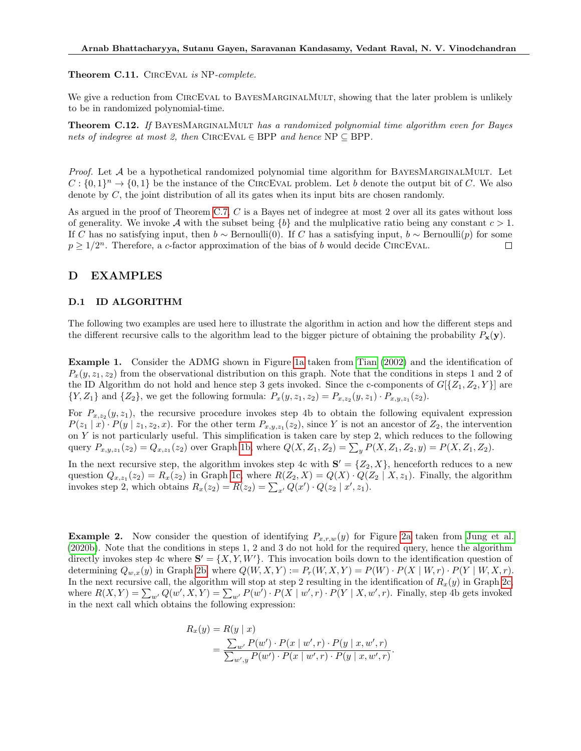#### Theorem C.11. CIRCEVAL is NP-complete.

We give a reduction from CIRCEVAL to BAYESMARGINALMULT, showing that the later problem is unlikely to be in randomized polynomial-time.

Theorem C.12. If BAYESMARGINALMULT has a randomized polynomial time algorithm even for Bayes nets of indegree at most 2, then CIRCEVAL  $\in$  BPP and hence NP  $\subseteq$  BPP.

*Proof.* Let  $A$  be a hypothetical randomized polynomial time algorithm for BAYESMARGINALMULT. Let  $C: \{0,1\}^n \to \{0,1\}$  be the instance of the CIRCEVAL problem. Let b denote the output bit of C. We also denote by  $C$ , the joint distribution of all its gates when its input bits are chosen randomly.

As argued in the proof of Theorem [C.7,](#page-15-1) C is a Bayes net of indegree at most 2 over all its gates without loss of generality. We invoke A with the subset being  ${b}$  and the mulplicative ratio being any constant  $c > 1$ . If C has no satisfying input, then  $b \sim \text{Bernoulli}(0)$ . If C has a satisfying input,  $b \sim \text{Bernoulli}(p)$  for some  $p \geq 1/2^n$ . Therefore, a c-factor approximation of the bias of b would decide CIRCEVAL.  $\Box$ 

## <span id="page-16-0"></span>D EXAMPLES

#### D.1 ID ALGORITHM

The following two examples are used here to illustrate the algorithm in action and how the different steps and the different recursive calls to the algorithm lead to the bigger picture of obtaining the probability  $P_x(y)$ .

Example 1. Consider the ADMG shown in Figure [1a](#page-17-0) taken from [Tian](#page-10-2) [\(2002\)](#page-10-2) and the identification of  $P_x(y, z_1, z_2)$  from the observational distribution on this graph. Note that the conditions in steps 1 and 2 of the ID Algorithm do not hold and hence step 3 gets invoked. Since the c-components of  $G[{Z_1, Z_2, Y}]$  are  $\{Y, Z_1\}$  and  $\{Z_2\}$ , we get the following formula:  $P_x(y, z_1, z_2) = P_{x, z_2}(y, z_1) \cdot P_{x, y, z_1}(z_2)$ .

For  $P_{x,z_2}(y,z_1)$ , the recursive procedure invokes step 4b to obtain the following equivalent expression  $P(z_1 | x) \cdot P(y | z_1, z_2, x)$ . For the other term  $P_{x,y,z_1}(z_2)$ , since Y is not an ancestor of  $Z_2$ , the intervention on Y is not particularly useful. This simplification is taken care by step 2, which reduces to the following query  $P_{x,y,z_1}(z_2) = Q_{x,z_1}(z_2)$  over Graph [1b,](#page-17-0) where  $Q(X, Z_1, Z_2) = \sum_y P(X, Z_1, Z_2, y) = P(X, Z_1, Z_2)$ .

In the next recursive step, the algorithm invokes step 4c with  $S' = \{Z_2, X\}$ , henceforth reduces to a new question  $Q_{x,z_1}(z_2) = R_x(z_2)$  in Graph [1c,](#page-17-0) where  $R(Z_2, X) = Q(X) \cdot Q(Z_2 | X, z_1)$ . Finally, the algorithm invokes step 2, which obtains  $R_x(z_2) = R(z_2) = \sum_{x'} Q(x') \cdot Q(z_2 | x', z_1)$ .

**Example 2.** Now consider the question of identifying  $P_{x,r,w}(y)$  for Figure [2a](#page-17-1) taken from [Jung et al.](#page-9-20) [\(2020b\)](#page-9-20). Note that the conditions in steps 1, 2 and 3 do not hold for the required query, hence the algorithm directly invokes step 4c where  $S' = \{X, Y, W'\}$ . This invocation boils down to the identification question of determining  $Q_{w,x}(y)$  in Graph [2b,](#page-17-1) where  $Q(W, X, Y) := P<sub>r</sub>(W, X, Y) = P(W) \cdot P(X \mid W, r) \cdot P(Y \mid W, X, r)$ . In the next recursive call, the algorithm will stop at step 2 resulting in the identification of  $R_x(y)$  in Graph [2c,](#page-17-1) where  $R(X,Y) = \sum_{w'} Q(w',X,Y) = \sum_{w'} P(w') \cdot P(X \mid w',r) \cdot P(Y \mid X, w',r)$ . Finally, step 4b gets invoked in the next call which obtains the following expression:

$$
R_x(y) = R(y | x)
$$
  
= 
$$
\frac{\sum_{w'} P(w') \cdot P(x | w', r) \cdot P(y | x, w', r)}{\sum_{w', y} P(w') \cdot P(x | w', r) \cdot P(y | x, w', r)}.
$$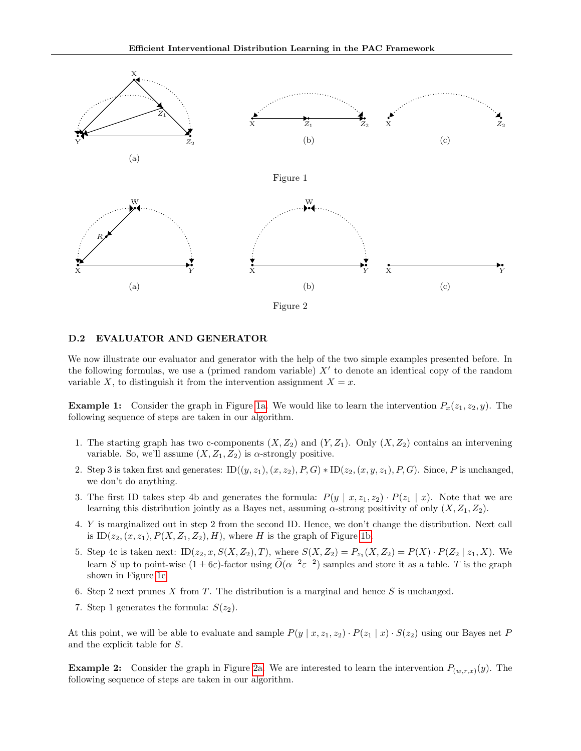<span id="page-17-1"></span><span id="page-17-0"></span>

#### D.2 EVALUATOR AND GENERATOR

We now illustrate our evaluator and generator with the help of the two simple examples presented before. In the following formulas, we use a (primed random variable)  $X'$  to denote an identical copy of the random variable X, to distinguish it from the intervention assignment  $X = x$ .

**Example 1:** Consider the graph in Figure [1a.](#page-17-0) We would like to learn the intervention  $P_x(z_1, z_2, y)$ . The following sequence of steps are taken in our algorithm.

- 1. The starting graph has two c-components  $(X, Z_2)$  and  $(Y, Z_1)$ . Only  $(X, Z_2)$  contains an intervening variable. So, we'll assume  $(X, Z_1, Z_2)$  is  $\alpha$ -strongly positive.
- 2. Step 3 is taken first and generates:  $ID((y, z_1), (x, z_2), P, G) * ID(z_2, (x, y, z_1), P, G)$ . Since, P is unchanged, we don't do anything.
- 3. The first ID takes step 4b and generates the formula:  $P(y | x, z_1, z_2) \cdot P(z_1 | x)$ . Note that we are learning this distribution jointly as a Bayes net, assuming  $\alpha$ -strong positivity of only  $(X, Z_1, Z_2)$ .
- 4. Y is marginalized out in step 2 from the second ID. Hence, we don't change the distribution. Next call is  $ID(z<sub>2</sub>, (x, z<sub>1</sub>), P(X, Z<sub>1</sub>, Z<sub>2</sub>), H)$ , where H is the graph of Figure [1b.](#page-17-0)
- 5. Step 4c is taken next:  $ID(z_2, x, S(X, Z_2), T)$ , where  $S(X, Z_2) = P_{z_1}(X, Z_2) = P(X) \cdot P(Z_2 | z_1, X)$ . We learn S up to point-wise  $(1 \pm 6\varepsilon)$ -factor using  $\widetilde{O}(\alpha^{-2}\varepsilon^{-2})$  samples and store it as a table. T is the graph shown in Figure [1c.](#page-17-0)
- 6. Step 2 next prunes X from T. The distribution is a marginal and hence  $S$  is unchanged.
- 7. Step 1 generates the formula:  $S(z_2)$ .

At this point, we will be able to evaluate and sample  $P(y | x, z_1, z_2) \cdot P(z_1 | x) \cdot S(z_2)$  using our Bayes net P and the explicit table for S.

**Example 2:** Consider the graph in Figure [2a.](#page-17-1) We are interested to learn the intervention  $P_{(w,r,x)}(y)$ . The following sequence of steps are taken in our algorithm.